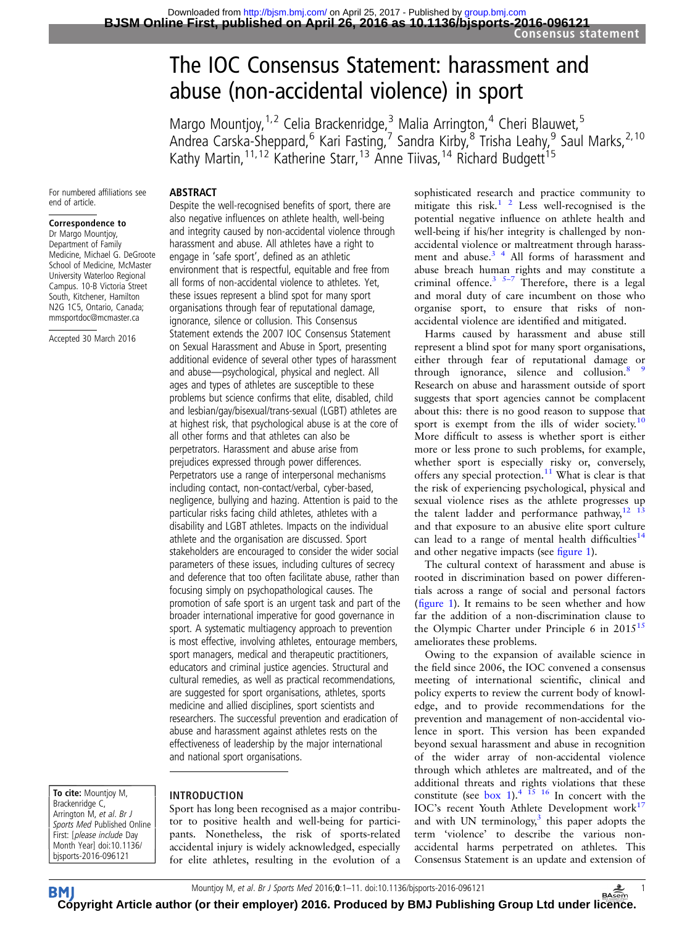# The IOC Consensus Statement: harassment and abuse (non-accidental violence) in sport

Margo Mountjoy,  $1.2$  Celia Brackenridge,  $3$  Malia Arrington,  $4$  Cheri Blauwet,  $5$ Andrea Carska-Sheppard,<sup>6</sup> Kari Fasting,<sup>7</sup> Sandra Kirby,<sup>8</sup> Trisha Leahy,<sup>9</sup> Saul Marks,<sup>2,10</sup> Kathy Martin, 11, 12 Katherine Starr, <sup>13</sup> Anne Tiivas, <sup>14</sup> Richard Budgett<sup>15</sup>

For numbered affiliations see end of article.

# Correspondence to

Dr Margo Mountjoy, Department of Family Medicine, Michael G. DeGroote School of Medicine, McMaster University Waterloo Regional Campus. 10-B Victoria Street South, Kitchener, Hamilton N2G 1C5, Ontario, Canada; mmsportdoc@mcmaster.ca

Accepted 30 March 2016

# ABSTRACT

Despite the well-recognised benefits of sport, there are also negative influences on athlete health, well-being and integrity caused by non-accidental violence through harassment and abuse. All athletes have a right to engage in 'safe sport', defined as an athletic environment that is respectful, equitable and free from all forms of non-accidental violence to athletes. Yet, these issues represent a blind spot for many sport organisations through fear of reputational damage, ignorance, silence or collusion. This Consensus Statement extends the 2007 IOC Consensus Statement on Sexual Harassment and Abuse in Sport, presenting additional evidence of several other types of harassment and abuse—psychological, physical and neglect. All ages and types of athletes are susceptible to these problems but science confirms that elite, disabled, child and lesbian/gay/bisexual/trans-sexual (LGBT) athletes are at highest risk, that psychological abuse is at the core of all other forms and that athletes can also be perpetrators. Harassment and abuse arise from prejudices expressed through power differences. Perpetrators use a range of interpersonal mechanisms including contact, non-contact/verbal, cyber-based, negligence, bullying and hazing. Attention is paid to the particular risks facing child athletes, athletes with a disability and LGBT athletes. Impacts on the individual athlete and the organisation are discussed. Sport stakeholders are encouraged to consider the wider social parameters of these issues, including cultures of secrecy and deference that too often facilitate abuse, rather than focusing simply on psychopathological causes. The promotion of safe sport is an urgent task and part of the broader international imperative for good governance in sport. A systematic multiagency approach to prevention is most effective, involving athletes, entourage members, sport managers, medical and therapeutic practitioners, educators and criminal justice agencies. Structural and cultural remedies, as well as practical recommendations, are suggested for sport organisations, athletes, sports medicine and allied disciplines, sport scientists and researchers. The successful prevention and eradication of abuse and harassment against athletes rests on the effectiveness of leadership by the major international and national sport organisations.

To cite: Mountjoy M, Brackenridge C, Arrington M, et al. Br J Sports Med Published Online First: [please include Day Month Year] doi:10.1136/ bjsports-2016-096121

# INTRODUCTION

Sport has long been recognised as a major contributor to positive health and well-being for participants. Nonetheless, the risk of sports-related accidental injury is widely acknowledged, especially for elite athletes, resulting in the evolution of a sophisticated research and practice community to mitigate this risk.<sup>[1 2](#page-7-0)</sup> Less well-recognised is the potential negative influence on athlete health and well-being if his/her integrity is challenged by nonaccidental violence or maltreatment through harassment and abuse.<sup>3</sup> <sup>4</sup> All forms of harassment and abuse breach human rights and may constitute a criminal offence. $35-7$  $35-7$  Therefore, there is a legal and moral duty of care incumbent on those who organise sport, to ensure that risks of nonaccidental violence are identified and mitigated.

Harms caused by harassment and abuse still represent a blind spot for many sport organisations, either through fear of reputational damage or through ignorance, silence and collusion. $\delta$ Research on abuse and harassment outside of sport suggests that sport agencies cannot be complacent about this: there is no good reason to suppose that sport is exempt from the ills of wider society.<sup>[10](#page-7-0)</sup> More difficult to assess is whether sport is either more or less prone to such problems, for example, whether sport is especially risky or, conversely, offers any special protection.<sup>[11](#page-7-0)</sup> What is clear is that the risk of experiencing psychological, physical and sexual violence rises as the athlete progresses up the talent ladder and performance pathway, $12 \overline{13}$ and that exposure to an abusive elite sport culture can lead to a range of mental health difficulties<sup>[14](#page-7-0)</sup> and other negative impacts (see fi[gure 1\)](#page-1-0).

The cultural context of harassment and abuse is rooted in discrimination based on power differentials across a range of social and personal factors (fi[gure 1](#page-1-0)). It remains to be seen whether and how far the addition of a non-discrimination clause to the Olympic Charter under Principle 6 in  $2015^{15}$  $2015^{15}$  $2015^{15}$ ameliorates these problems.

Owing to the expansion of available science in the field since 2006, the IOC convened a consensus meeting of international scientific, clinical and policy experts to review the current body of knowledge, and to provide recommendations for the prevention and management of non-accidental violence in sport. This version has been expanded beyond sexual harassment and abuse in recognition of the wider array of non-accidental violence through which athletes are maltreated, and of the additional threats and rights violations that these constitute (see [box 1\)](#page-2-0).<sup>4</sup> <sup>15</sup> <sup>16</sup> In concert with the IOC's recent Youth Athlete Development work<sup>[17](#page-7-0)</sup> and with UN terminology, $3$  this paper adopts the term 'violence' to describe the various nonaccidental harms perpetrated on athletes. This Consensus Statement is an update and extension of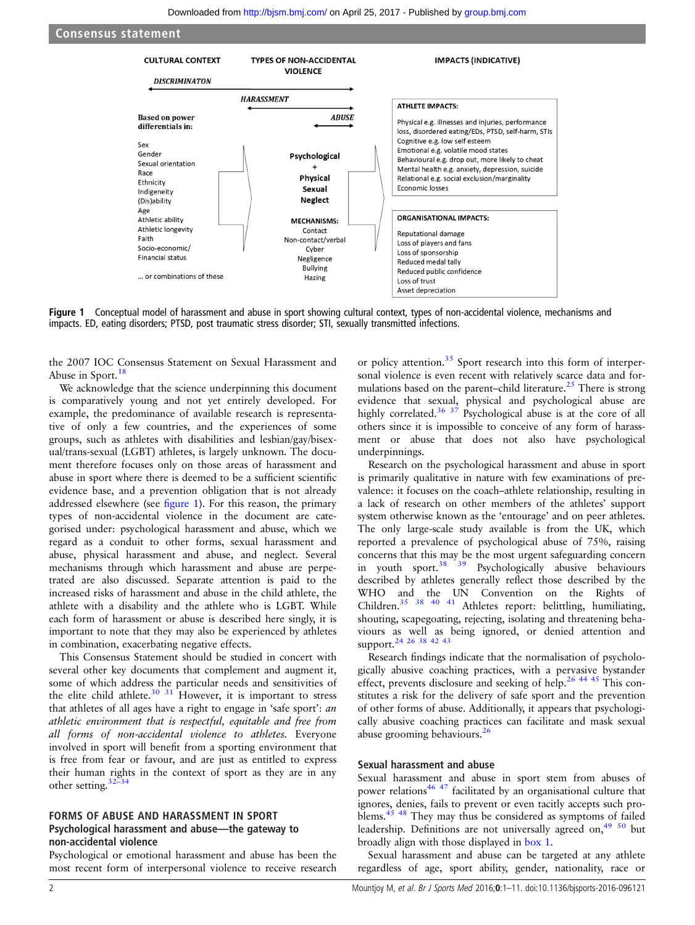<span id="page-1-0"></span>

Figure 1 Conceptual model of harassment and abuse in sport showing cultural context, types of non-accidental violence, mechanisms and impacts. ED, eating disorders; PTSD, post traumatic stress disorder; STI, sexually transmitted infections.

the 2007 IOC Consensus Statement on Sexual Harassment and Abuse in Sport.<sup>[18](#page-7-0)</sup>

We acknowledge that the science underpinning this document is comparatively young and not yet entirely developed. For example, the predominance of available research is representative of only a few countries, and the experiences of some groups, such as athletes with disabilities and lesbian/gay/bisexual/trans-sexual (LGBT) athletes, is largely unknown. The document therefore focuses only on those areas of harassment and abuse in sport where there is deemed to be a sufficient scientific evidence base, and a prevention obligation that is not already addressed elsewhere (see figure 1). For this reason, the primary types of non-accidental violence in the document are categorised under: psychological harassment and abuse, which we regard as a conduit to other forms, sexual harassment and abuse, physical harassment and abuse, and neglect. Several mechanisms through which harassment and abuse are perpetrated are also discussed. Separate attention is paid to the increased risks of harassment and abuse in the child athlete, the athlete with a disability and the athlete who is LGBT. While each form of harassment or abuse is described here singly, it is important to note that they may also be experienced by athletes in combination, exacerbating negative effects.

This Consensus Statement should be studied in concert with several other key documents that complement and augment it, some of which address the particular needs and sensitivities of the elite child athlete. $30\frac{31}{1}$  However, it is important to stress that athletes of all ages have a right to engage in 'safe sport': an athletic environment that is respectful, equitable and free from all forms of non-accidental violence to athletes. Everyone involved in sport will benefit from a sporting environment that is free from fear or favour, and are just as entitled to express their human rights in the context of sport as they are in any other setting. $32-3$ 

# FORMS OF ABUSE AND HARASSMENT IN SPORT Psychological harassment and abuse—the gateway to non-accidental violence

Psychological or emotional harassment and abuse has been the most recent form of interpersonal violence to receive research or policy attention.<sup>[35](#page-8-0)</sup> Sport research into this form of interpersonal violence is even recent with relatively scarce data and for-mulations based on the parent–child literature.<sup>[25](#page-7-0)</sup> There is strong evidence that sexual, physical and psychological abuse are highly correlated.<sup>[36 37](#page-8-0)</sup> Psychological abuse is at the core of all others since it is impossible to conceive of any form of harassment or abuse that does not also have psychological underpinnings.

Research on the psychological harassment and abuse in sport is primarily qualitative in nature with few examinations of prevalence: it focuses on the coach–athlete relationship, resulting in a lack of research on other members of the athletes' support system otherwise known as the 'entourage' and on peer athletes. The only large-scale study available is from the UK, which reported a prevalence of psychological abuse of 75%, raising concerns that this may be the most urgent safeguarding concern in youth sport.<sup>38</sup> <sup>39</sup> Psychologically abusive behaviours described by athletes generally reflect those described by the WHO and the UN Convention on the Rights of Children.[35 38 40 41](#page-8-0) Athletes report: belittling, humiliating, shouting, scapegoating, rejecting, isolating and threatening behaviours as well as being ignored, or denied attention and support.<sup>24</sup> <sup>26</sup> <sup>38</sup> <sup>42</sup> <sup>43</sup>

Research findings indicate that the normalisation of psychologically abusive coaching practices, with a pervasive bystander effect, prevents disclosure and seeking of help.<sup>[26](#page-7-0) [44 45](#page-8-0)</sup> This constitutes a risk for the delivery of safe sport and the prevention of other forms of abuse. Additionally, it appears that psychologically abusive coaching practices can facilitate and mask sexual abuse grooming behaviours.<sup>2</sup>

#### Sexual harassment and abuse

Sexual harassment and abuse in sport stem from abuses of power relations<sup>46 47</sup> facilitated by an organisational culture that ignores, denies, fails to prevent or even tacitly accepts such problems.<sup>45</sup> <sup>48</sup> They may thus be considered as symptoms of failed leadership. Definitions are not universally agreed on,  $49\frac{50}{10}$  but broadly align with those displayed in [box 1.](#page-2-0)

Sexual harassment and abuse can be targeted at any athlete regardless of age, sport ability, gender, nationality, race or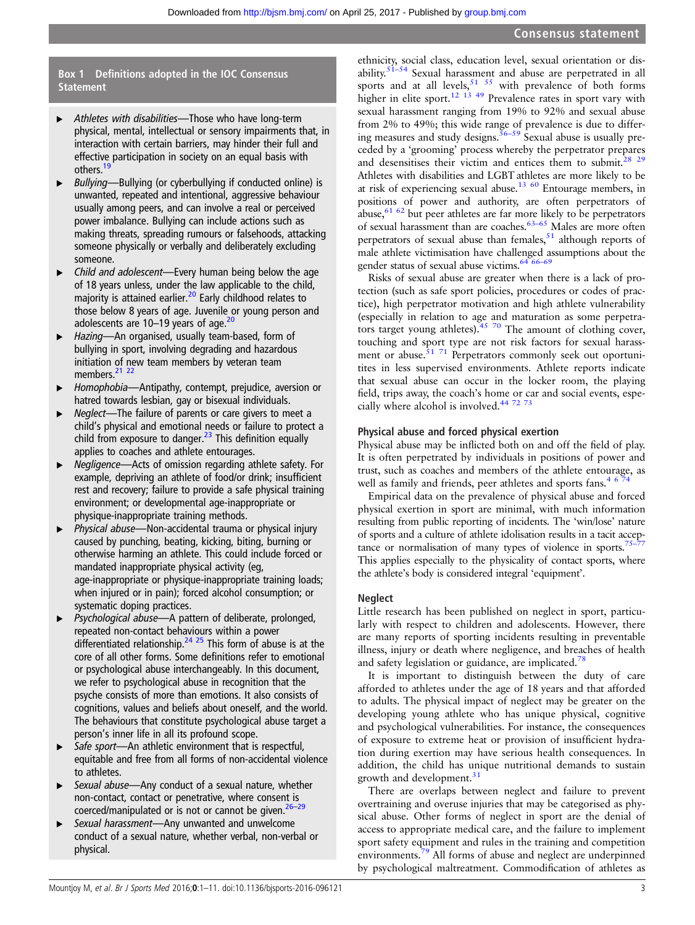## <span id="page-2-0"></span>Box 1 Definitions adopted in the IOC Consensus **Statement**

- ▶ Athletes with disabilities—Those who have long-term physical, mental, intellectual or sensory impairments that, in interaction with certain barriers, may hinder their full and effective participation in society on an equal basis with others.<sup>1</sup>
- ▸ Bullying—Bullying (or cyberbullying if conducted online) is unwanted, repeated and intentional, aggressive behaviour usually among peers, and can involve a real or perceived power imbalance. Bullying can include actions such as making threats, spreading rumours or falsehoods, attacking someone physically or verbally and deliberately excluding someone.
- ▸ Child and adolescent—Every human being below the age of 18 years unless, under the law applicable to the child, majority is attained earlier. $20$  Early childhood relates to those below 8 years of age. Juvenile or young person and adolescents are  $10-19$  years of age. $20$
- ▶ Hazing—An organised, usually team-based, form of bullying in sport, involving degrading and hazardous initiation of new team members by veteran team members.<sup>21</sup> 22
- ▶ Homophobia—Antipathy, contempt, prejudice, aversion or hatred towards lesbian, gay or bisexual individuals.
- ▶ Neglect-The failure of parents or care givers to meet a child's physical and emotional needs or failure to protect a child from exposure to danger. $^{23}$  $^{23}$  $^{23}$  This definition equally applies to coaches and athlete entourages.
- Negligence-Acts of omission regarding athlete safety. For example, depriving an athlete of food/or drink; insufficient rest and recovery; failure to provide a safe physical training environment; or developmental age-inappropriate or physique-inappropriate training methods.
- ▸ Physical abuse—Non-accidental trauma or physical injury caused by punching, beating, kicking, biting, burning or otherwise harming an athlete. This could include forced or mandated inappropriate physical activity (eg, age-inappropriate or physique-inappropriate training loads; when injured or in pain); forced alcohol consumption; or systematic doping practices.
- ▸ Psychological abuse—A pattern of deliberate, prolonged, repeated non-contact behaviours within a power differentiated relationship.<sup>[24 25](#page-7-0)</sup> This form of abuse is at the core of all other forms. Some definitions refer to emotional or psychological abuse interchangeably. In this document, we refer to psychological abuse in recognition that the psyche consists of more than emotions. It also consists of cognitions, values and beliefs about oneself, and the world. The behaviours that constitute psychological abuse target a person's inner life in all its profound scope.
- Safe sport-An athletic environment that is respectful, equitable and free from all forms of non-accidental violence to athletes.
- ▸ Sexual abuse—Any conduct of a sexual nature, whether non-contact, contact or penetrative, where consent is coerced/manipulated or is not or cannot be given.<sup>[26](#page-7-0)-[29](#page-7-0)</sup>
- Sexual harassment-Any unwanted and unwelcome conduct of a sexual nature, whether verbal, non-verbal or physical.

ethnicity, social class, education level, sexual orientation or disability. $51-54$  $51-54$  Sexual harassment and abuse are perpetrated in all sports and at all levels,  $51$   $55$  with prevalence of both forms higher in elite sport.<sup>12 13 [49](#page-8-0)</sup> Prevalence rates in sport vary with sexual harassment ranging from 19% to 92% and sexual abuse from 2% to 49%; this wide range of prevalence is due to differing measures and study designs.  $56-59$  $56-59$  Sexual abuse is usually preceded by a 'grooming' process whereby the perpetrator prepares and desensitises their victim and entices them to submit.<sup>28</sup> <sup>29</sup> Athletes with disabilities and LGBT athletes are more likely to be at risk of experiencing sexual abuse.<sup>13 [60](#page-8-0)</sup> Entourage members, in positions of power and authority, are often perpetrators of abuse,  $61 62$  but peer athletes are far more likely to be perpetrators of sexual harassment than are coaches.<sup>[63](#page-8-0)–65</sup> Males are more often perpetrators of sexual abuse than females, $51$  although reports of male athlete victimisation have challenged assumptions about the gender status of sexual abuse victims.  $64\,66-69$ 

Risks of sexual abuse are greater when there is a lack of protection (such as safe sport policies, procedures or codes of practice), high perpetrator motivation and high athlete vulnerability (especially in relation to age and maturation as some perpetrators target young athletes). $45$  70 The amount of clothing cover, touching and sport type are not risk factors for sexual harassment or abuse. $51$ <sup>71</sup> Perpetrators commonly seek out oportunitites in less supervised environments. Athlete reports indicate that sexual abuse can occur in the locker room, the playing field, trips away, the coach's home or car and social events, especially where alcohol is involved.[44 72 73](#page-8-0)

# Physical abuse and forced physical exertion

Physical abuse may be inflicted both on and off the field of play. It is often perpetrated by individuals in positions of power and trust, such as coaches and members of the athlete entourage, as well as family and friends, peer athletes and sports fans.<sup>46</sup>

Empirical data on the prevalence of physical abuse and forced physical exertion in sport are minimal, with much information resulting from public reporting of incidents. The 'win/lose' nature of sports and a culture of athlete idolisation results in a tacit accep-tance or normalisation of many types of violence in sports.<sup>[75](#page-8-0)</sup> This applies especially to the physicality of contact sports, where the athlete's body is considered integral 'equipment'.

# **Neglect**

Little research has been published on neglect in sport, particularly with respect to children and adolescents. However, there are many reports of sporting incidents resulting in preventable illness, injury or death where negligence, and breaches of health and safety legislation or guidance, are implicated.<sup>78</sup>

It is important to distinguish between the duty of care afforded to athletes under the age of 18 years and that afforded to adults. The physical impact of neglect may be greater on the developing young athlete who has unique physical, cognitive and psychological vulnerabilities. For instance, the consequences of exposure to extreme heat or provision of insufficient hydration during exertion may have serious health consequences. In addition, the child has unique nutritional demands to sustain growth and development.<sup>[31](#page-7-0)</sup>

There are overlaps between neglect and failure to prevent overtraining and overuse injuries that may be categorised as physical abuse. Other forms of neglect in sport are the denial of access to appropriate medical care, and the failure to implement sport safety equipment and rules in the training and competition environments.<sup>[79](#page-8-0)</sup> All forms of abuse and neglect are underpinned by psychological maltreatment. Commodification of athletes as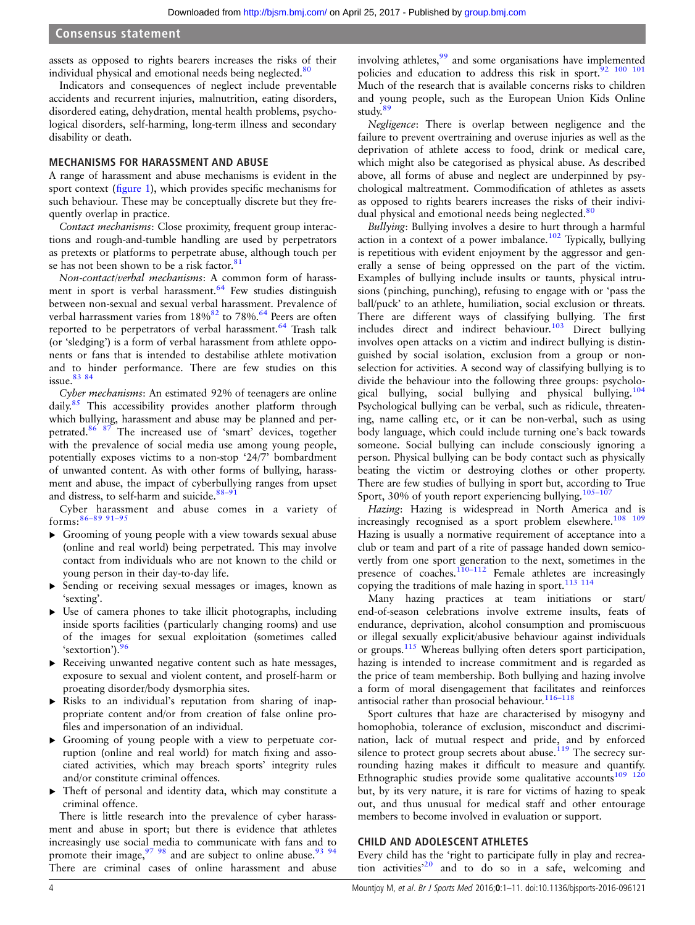assets as opposed to rights bearers increases the risks of their individual physical and emotional needs being neglected.<sup>80</sup>

Indicators and consequences of neglect include preventable accidents and recurrent injuries, malnutrition, eating disorders, disordered eating, dehydration, mental health problems, psychological disorders, self-harming, long-term illness and secondary disability or death.

#### MECHANISMS FOR HARASSMENT AND ABUSE

A range of harassment and abuse mechanisms is evident in the sport context (fi[gure 1](#page-1-0)), which provides specific mechanisms for such behaviour. These may be conceptually discrete but they frequently overlap in practice.

Contact mechanisms: Close proximity, frequent group interactions and rough-and-tumble handling are used by perpetrators as pretexts or platforms to perpetrate abuse, although touch per se has not been shown to be a risk factor. $81$ 

Non-contact/verbal mechanisms: A common form of harass-ment in sport is verbal harassment.<sup>[64](#page-8-0)</sup> Few studies distinguish between non-sexual and sexual verbal harassment. Prevalence of verbal harrassment varies from 18%<sup>[82](#page-8-0)</sup> to 78%.<sup>[64](#page-8-0)</sup> Peers are often reported to be perpetrators of verbal harassment.<sup>[64](#page-8-0)</sup> Trash talk (or 'sledging') is a form of verbal harassment from athlete opponents or fans that is intended to destabilise athlete motivation and to hinder performance. There are few studies on this issue.[83 84](#page-8-0)

Cyber mechanisms: An estimated 92% of teenagers are online daily.<sup>[85](#page-8-0)</sup> This accessibility provides another platform through which bullying, harassment and abuse may be planned and perpetrated.[86 87](#page-8-0) The increased use of 'smart' devices, together with the prevalence of social media use among young people, potentially exposes victims to a non-stop '24/7' bombardment of unwanted content. As with other forms of bullying, harassment and abuse, the impact of cyberbullying ranges from upset and distress, to self-harm and suicide. $88-91$ 

Cyber harassment and abuse comes in a variety of forms:86–[89](#page-8-0) 91–[95](#page-8-0)

- ▸ Grooming of young people with a view towards sexual abuse (online and real world) being perpetrated. This may involve contact from individuals who are not known to the child or young person in their day-to-day life.
- Sending or receiving sexual messages or images, known as 'sexting'.
- ▸ Use of camera phones to take illicit photographs, including inside sports facilities (particularly changing rooms) and use of the images for sexual exploitation (sometimes called 'sextortion').<sup>[96](#page-8-0)</sup>
- ▸ Receiving unwanted negative content such as hate messages, exposure to sexual and violent content, and proself-harm or proeating disorder/body dysmorphia sites.
- ▸ Risks to an individual's reputation from sharing of inappropriate content and/or from creation of false online profiles and impersonation of an individual.
- ▸ Grooming of young people with a view to perpetuate corruption (online and real world) for match fixing and associated activities, which may breach sports' integrity rules and/or constitute criminal offences.
- ▸ Theft of personal and identity data, which may constitute a criminal offence.

There is little research into the prevalence of cyber harassment and abuse in sport; but there is evidence that athletes increasingly use social media to communicate with fans and to promote their image,  $97\frac{98}{98}$  and are subject to online abuse.  $93\frac{94}{98}$ There are criminal cases of online harassment and abuse

involving athletes, $99$  and some organisations have implemented policies and education to address this risk in sport.<sup>92</sup> <sup>100</sup> <sup>101</sup> Much of the research that is available concerns risks to children and young people, such as the European Union Kids Online study.<sup>[89](#page-8-0)</sup>

Negligence: There is overlap between negligence and the failure to prevent overtraining and overuse injuries as well as the deprivation of athlete access to food, drink or medical care, which might also be categorised as physical abuse. As described above, all forms of abuse and neglect are underpinned by psychological maltreatment. Commodification of athletes as assets as opposed to rights bearers increases the risks of their indivi-dual physical and emotional needs being neglected.<sup>[80](#page-8-0)</sup>

Bullying: Bullying involves a desire to hurt through a harmful action in a context of a power imbalance.<sup>[102](#page-9-0)</sup> Typically, bullying is repetitious with evident enjoyment by the aggressor and generally a sense of being oppressed on the part of the victim. Examples of bullying include insults or taunts, physical intrusions (pinching, punching), refusing to engage with or 'pass the ball/puck' to an athlete, humiliation, social exclusion or threats. There are different ways of classifying bullying. The first includes direct and indirect behaviour.<sup>[103](#page-9-0)</sup> Direct bullying involves open attacks on a victim and indirect bullying is distinguished by social isolation, exclusion from a group or nonselection for activities. A second way of classifying bullying is to divide the behaviour into the following three groups: psychological bullying, social bullying and physical bullying.[104](#page-9-0) Psychological bullying can be verbal, such as ridicule, threatening, name calling etc, or it can be non-verbal, such as using body language, which could include turning one's back towards someone. Social bullying can include consciously ignoring a person. Physical bullying can be body contact such as physically beating the victim or destroying clothes or other property. There are few studies of bullying in sport but, according to True Sport, 30% of youth report experiencing bullying. $105-107$  $105-107$ 

Hazing: Hazing is widespread in North America and is increasingly recognised as a sport problem elsewhere.<sup>108</sup> <sup>109</sup> Hazing is usually a normative requirement of acceptance into a club or team and part of a rite of passage handed down semicovertly from one sport generation to the next, sometimes in the presence of coaches.<sup>[110](#page-9-0)–112</sup> Female athletes are increasingly copying the traditions of male hazing in sport.<sup>[113 114](#page-9-0)</sup>

Many hazing practices at team initiations or start/ end-of-season celebrations involve extreme insults, feats of endurance, deprivation, alcohol consumption and promiscuous or illegal sexually explicit/abusive behaviour against individuals or groups.<sup>115</sup> Whereas bullying often deters sport participation, hazing is intended to increase commitment and is regarded as the price of team membership. Both bullying and hazing involve a form of moral disengagement that facilitates and reinforces antisocial rather than prosocial behaviour. $116-118$  $116-118$ 

Sport cultures that haze are characterised by misogyny and homophobia, tolerance of exclusion, misconduct and discrimination, lack of mutual respect and pride, and by enforced silence to protect group secrets about abuse.<sup>[119](#page-9-0)</sup> The secrecy surrounding hazing makes it difficult to measure and quantify. Ethnographic studies provide some qualitative accounts<sup>109</sup> <sup>120</sup> but, by its very nature, it is rare for victims of hazing to speak out, and thus unusual for medical staff and other entourage members to become involved in evaluation or support.

#### CHILD AND ADOLESCENT ATHLETES

Every child has the 'right to participate fully in play and recreation activities' [20](#page-7-0) and to do so in a safe, welcoming and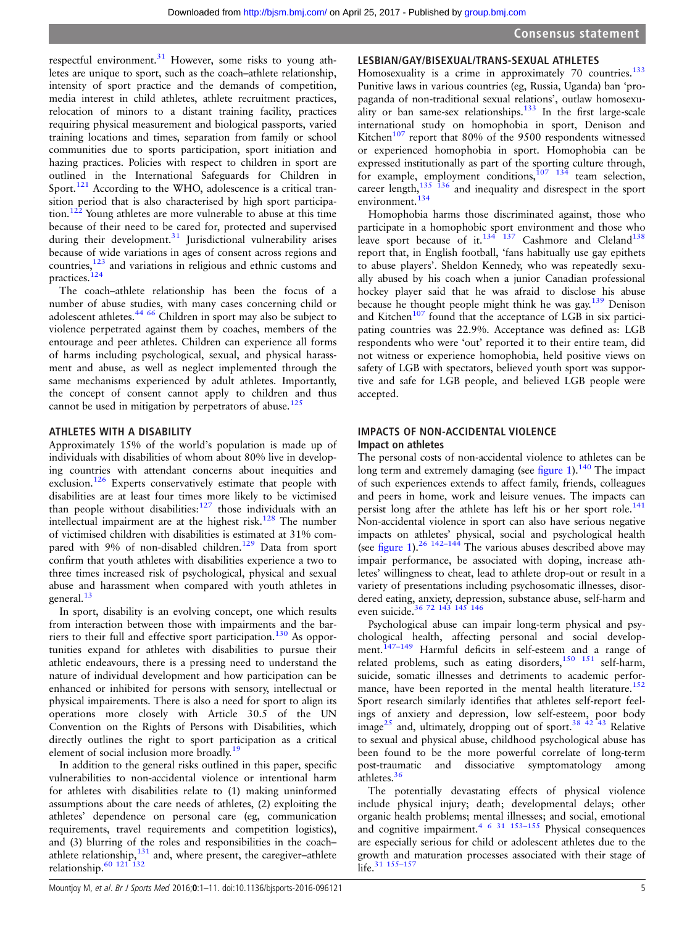respectful environment. $31$  However, some risks to young athletes are unique to sport, such as the coach–athlete relationship, intensity of sport practice and the demands of competition, media interest in child athletes, athlete recruitment practices, relocation of minors to a distant training facility, practices requiring physical measurement and biological passports, varied training locations and times, separation from family or school communities due to sports participation, sport initiation and hazing practices. Policies with respect to children in sport are outlined in the International Safeguards for Children in Sport.<sup>[121](#page-9-0)</sup> According to the WHO, adolescence is a critical transition period that is also characterised by high sport participation.[122](#page-9-0) Young athletes are more vulnerable to abuse at this time because of their need to be cared for, protected and supervised during their development.<sup>[31](#page-7-0)</sup> Jurisdictional vulnerability arises because of wide variations in ages of consent across regions and countries,<sup>[123](#page-9-0)</sup> and variations in religious and ethnic customs and practices.<sup>124</sup>

The coach–athlete relationship has been the focus of a number of abuse studies, with many cases concerning child or adolescent athletes.[44 66](#page-8-0) Children in sport may also be subject to violence perpetrated against them by coaches, members of the entourage and peer athletes. Children can experience all forms of harms including psychological, sexual, and physical harassment and abuse, as well as neglect implemented through the same mechanisms experienced by adult athletes. Importantly, the concept of consent cannot apply to children and thus cannot be used in mitigation by perpetrators of abuse.<sup>[125](#page-9-0)</sup>

#### ATHLETES WITH A DISABILITY

Approximately 15% of the world's population is made up of individuals with disabilities of whom about 80% live in developing countries with attendant concerns about inequities and exclusion.[126](#page-9-0) Experts conservatively estimate that people with disabilities are at least four times more likely to be victimised than people without disabilities: $127$  those individuals with an intellectual impairment are at the highest risk.<sup>[128](#page-9-0)</sup> The number of victimised children with disabilities is estimated at 31% compared with 9% of non-disabled children.<sup>129</sup> Data from sport confirm that youth athletes with disabilities experience a two to three times increased risk of psychological, physical and sexual abuse and harassment when compared with youth athletes in general.<sup>[13](#page-7-0)</sup>

In sport, disability is an evolving concept, one which results from interaction between those with impairments and the bar-riers to their full and effective sport participation.<sup>[130](#page-9-0)</sup> As opportunities expand for athletes with disabilities to pursue their athletic endeavours, there is a pressing need to understand the nature of individual development and how participation can be enhanced or inhibited for persons with sensory, intellectual or physical impairements. There is also a need for sport to align its operations more closely with Article 30.5 of the UN Convention on the Rights of Persons with Disabilities, which directly outlines the right to sport participation as a critical element of social inclusion more broadly.<sup>[19](#page-7-0)</sup>

In addition to the general risks outlined in this paper, specific vulnerabilities to non-accidental violence or intentional harm for athletes with disabilities relate to (1) making uninformed assumptions about the care needs of athletes, (2) exploiting the athletes' dependence on personal care (eg, communication requirements, travel requirements and competition logistics), and (3) blurring of the roles and responsibilities in the coach– athlete relationship, $^{131}$  and, where present, the caregiver-athlete relationship.<sup>60</sup> 121<sup>-132</sup>

# LESBIAN/GAY/BISEXUAL/TRANS-SEXUAL ATHLETES

Homosexuality is a crime in approximately 70 countries.<sup>133</sup> Punitive laws in various countries (eg, Russia, Uganda) ban 'propaganda of non-traditional sexual relations', outlaw homosexuality or ban same-sex relationships. $133$  In the first large-scale international study on homophobia in sport, Denison and Kitchen<sup>[107](#page-9-0)</sup> report that 80% of the 9500 respondents witnessed or experienced homophobia in sport. Homophobia can be expressed institutionally as part of the sporting culture through, for example, employment conditions, $107 \times 134$  team selection, career length,<sup>135</sup> 136 and inequality and disrespect in the sport environment.<sup>[134](#page-9-0)</sup>

Homophobia harms those discriminated against, those who participate in a homophobic sport environment and those who leave sport because of it.<sup>[134 137](#page-9-0)</sup> Cashmore and Cleland<sup>138</sup> report that, in English football, 'fans habitually use gay epithets to abuse players'. Sheldon Kennedy, who was repeatedly sexually abused by his coach when a junior Canadian professional hockey player said that he was afraid to disclose his abuse because he thought people might think he was gay.[139](#page-9-0) Denison and Kitchen<sup>[107](#page-9-0)</sup> found that the acceptance of LGB in six participating countries was 22.9%. Acceptance was defined as: LGB respondents who were 'out' reported it to their entire team, did not witness or experience homophobia, held positive views on safety of LGB with spectators, believed youth sport was supportive and safe for LGB people, and believed LGB people were accepted.

# IMPACTS OF NON-ACCIDENTAL VIOLENCE Impact on athletes

The personal costs of non-accidental violence to athletes can be long term and extremely damaging (see fi[gure 1](#page-1-0)).<sup>[140](#page-9-0)</sup> The impact of such experiences extends to affect family, friends, colleagues and peers in home, work and leisure venues. The impacts can persist long after the athlete has left his or her sport role.<sup>141</sup> Non-accidental violence in sport can also have serious negative impacts on athletes' physical, social and psychological health (see fi[gure 1\)](#page-1-0).<sup>[26](#page-7-0) [142](#page-9-0)-144</sup> The various abuses described above may impair performance, be associated with doping, increase athletes' willingness to cheat, lead to athlete drop-out or result in a variety of presentations including psychosomatic illnesses, disordered eating, anxiety, depression, substance abuse, self-harm and even suicide.<sup>[36 72](#page-8-0)</sup> [143 145 146](#page-9-0)

Psychological abuse can impair long-term physical and psychological health, affecting personal and social develop-ment.<sup>[147](#page-9-0)-149</sup> Harmful deficits in self-esteem and a range of related problems, such as eating disorders,<sup>150</sup> 151 self-harm, suicide, somatic illnesses and detriments to academic performance, have been reported in the mental health literature.<sup>152</sup> Sport research similarly identifies that athletes self-report feelings of anxiety and depression, low self-esteem, poor body image<sup>25</sup> and, ultimately, dropping out of sport.<sup>[38 42 43](#page-8-0)</sup> Relative to sexual and physical abuse, childhood psychological abuse has been found to be the more powerful correlate of long-term post-traumatic and dissociative symptomatology among athletes.<sup>[36](#page-8-0)</sup>

The potentially devastating effects of physical violence include physical injury; death; developmental delays; other organic health problems; mental illnesses; and social, emotional and cognitive impairment.<sup>4  $\frac{6}{31}$  [153](#page-9-0)–155 Physical consequences</sup> are especially serious for child or adolescent athletes due to the growth and maturation processes associated with their stage of life.<sup>31</sup> [155](#page-9-0)–157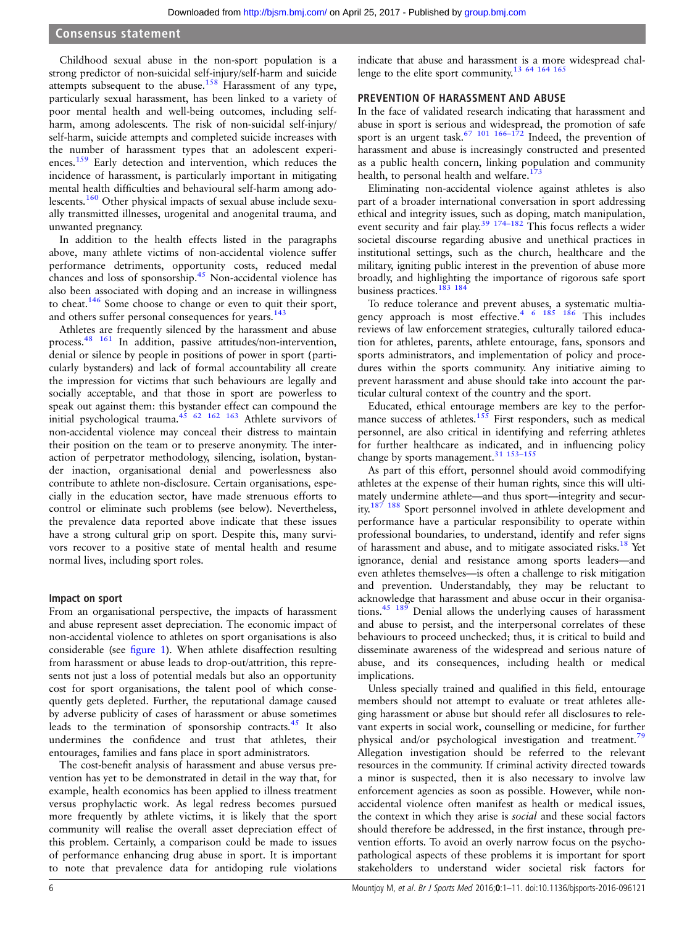Childhood sexual abuse in the non-sport population is a strong predictor of non-suicidal self-injury/self-harm and suicide attempts subsequent to the abuse.<sup>[158](#page-9-0)</sup> Harassment of any type, particularly sexual harassment, has been linked to a variety of poor mental health and well-being outcomes, including selfharm, among adolescents. The risk of non-suicidal self-injury/ self-harm, suicide attempts and completed suicide increases with the number of harassment types that an adolescent experiences.[159](#page-9-0) Early detection and intervention, which reduces the incidence of harassment, is particularly important in mitigating mental health difficulties and behavioural self-harm among adolescents.[160](#page-9-0) Other physical impacts of sexual abuse include sexually transmitted illnesses, urogenital and anogenital trauma, and unwanted pregnancy.

In addition to the health effects listed in the paragraphs above, many athlete victims of non-accidental violence suffer performance detriments, opportunity costs, reduced medal chances and loss of sponsorship.<sup>45</sup> Non-accidental violence has also been associated with doping and an increase in willingness to cheat.[146](#page-9-0) Some choose to change or even to quit their sport, and others suffer personal consequences for years.<sup>143</sup>

Athletes are frequently silenced by the harassment and abuse process[.48](#page-8-0) [161](#page-9-0) In addition, passive attitudes/non-intervention, denial or silence by people in positions of power in sport (particularly bystanders) and lack of formal accountability all create the impression for victims that such behaviours are legally and socially acceptable, and that those in sport are powerless to speak out against them: this bystander effect can compound the initial psychological trauma.<sup>[45 62](#page-8-0) 162</sup> 163 Athlete survivors of non-accidental violence may conceal their distress to maintain their position on the team or to preserve anonymity. The interaction of perpetrator methodology, silencing, isolation, bystander inaction, organisational denial and powerlessness also contribute to athlete non-disclosure. Certain organisations, especially in the education sector, have made strenuous efforts to control or eliminate such problems (see below). Nevertheless, the prevalence data reported above indicate that these issues have a strong cultural grip on sport. Despite this, many survivors recover to a positive state of mental health and resume normal lives, including sport roles.

#### Impact on sport

From an organisational perspective, the impacts of harassment and abuse represent asset depreciation. The economic impact of non-accidental violence to athletes on sport organisations is also considerable (see fi[gure 1](#page-1-0)). When athlete disaffection resulting from harassment or abuse leads to drop-out/attrition, this represents not just a loss of potential medals but also an opportunity cost for sport organisations, the talent pool of which consequently gets depleted. Further, the reputational damage caused by adverse publicity of cases of harassment or abuse sometimes leads to the termination of sponsorship contracts. $45$  It also undermines the confidence and trust that athletes, their entourages, families and fans place in sport administrators.

The cost-benefit analysis of harassment and abuse versus prevention has yet to be demonstrated in detail in the way that, for example, health economics has been applied to illness treatment versus prophylactic work. As legal redress becomes pursued more frequently by athlete victims, it is likely that the sport community will realise the overall asset depreciation effect of this problem. Certainly, a comparison could be made to issues of performance enhancing drug abuse in sport. It is important to note that prevalence data for antidoping rule violations

indicate that abuse and harassment is a more widespread challenge to the elite sport community.[13](#page-7-0) [64](#page-8-0) [164 165](#page-9-0)

# PREVENTION OF HARASSMENT AND ABUSE

In the face of validated research indicating that harassment and abuse in sport is serious and widespread, the promotion of safe sport is an urgent task.<sup>[67](#page-8-0) [101 166](#page-9-0)–172</sup> Indeed, the prevention of harassment and abuse is increasingly constructed and presented as a public health concern, linking population and community health, to personal health and welfare.<sup>[173](#page-10-0)</sup>

Eliminating non-accidental violence against athletes is also part of a broader international conversation in sport addressing ethical and integrity issues, such as doping, match manipulation, event security and fair play.[39](#page-8-0) [174](#page-10-0)–<sup>182</sup> This focus reflects a wider societal discourse regarding abusive and unethical practices in institutional settings, such as the church, healthcare and the military, igniting public interest in the prevention of abuse more broadly, and highlighting the importance of rigorous safe sport business practices.[183 184](#page-10-0)

To reduce tolerance and prevent abuses, a systematic multia-gency approach is most effective.<sup>[4 6](#page-7-0) 185</sup> 186 This includes reviews of law enforcement strategies, culturally tailored education for athletes, parents, athlete entourage, fans, sponsors and sports administrators, and implementation of policy and procedures within the sports community. Any initiative aiming to prevent harassment and abuse should take into account the particular cultural context of the country and the sport.

Educated, ethical entourage members are key to the perfor-mance success of athletes.<sup>[155](#page-9-0)</sup> First responders, such as medical personnel, are also critical in identifying and referring athletes for further healthcare as indicated, and in influencing policy change by sports management.<sup>[31](#page-7-0)</sup> <sup>153-155</sup>

As part of this effort, personnel should avoid commodifying athletes at the expense of their human rights, since this will ultimately undermine athlete—and thus sport—integrity and security.<sup>187</sup> <sup>188</sup> Sport personnel involved in athlete development and performance have a particular responsibility to operate within professional boundaries, to understand, identify and refer signs of harassment and abuse, and to mitigate associated risks[.18](#page-7-0) Yet ignorance, denial and resistance among sports leaders—and even athletes themselves—is often a challenge to risk mitigation and prevention. Understandably, they may be reluctant to acknowledge that harassment and abuse occur in their organisations. $45 \frac{189}{9}$  $45 \frac{189}{9}$  Denial allows the underlying causes of harassment and abuse to persist, and the interpersonal correlates of these behaviours to proceed unchecked; thus, it is critical to build and disseminate awareness of the widespread and serious nature of abuse, and its consequences, including health or medical implications.

Unless specially trained and qualified in this field, entourage members should not attempt to evaluate or treat athletes alleging harassment or abuse but should refer all disclosures to relevant experts in social work, counselling or medicine, for further physical and/or psychological investigation and treatment.<sup>[79](#page-8-0)</sup> Allegation investigation should be referred to the relevant resources in the community. If criminal activity directed towards a minor is suspected, then it is also necessary to involve law enforcement agencies as soon as possible. However, while nonaccidental violence often manifest as health or medical issues, the context in which they arise is social and these social factors should therefore be addressed, in the first instance, through prevention efforts. To avoid an overly narrow focus on the psychopathological aspects of these problems it is important for sport stakeholders to understand wider societal risk factors for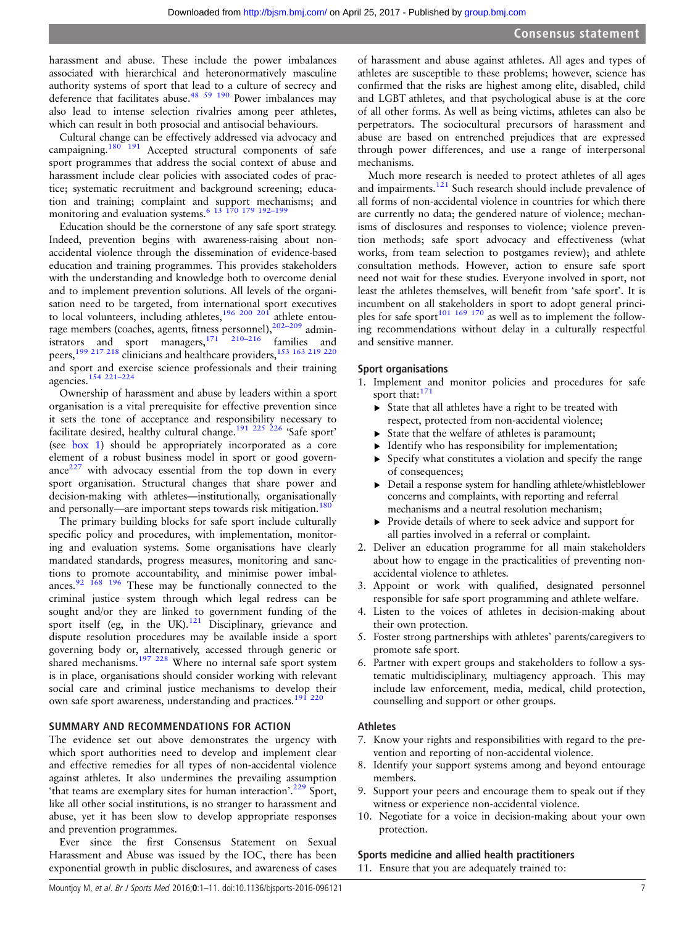harassment and abuse. These include the power imbalances associated with hierarchical and heteronormatively masculine authority systems of sport that lead to a culture of secrecy and deference that facilitates abuse.<sup>[48 59](#page-8-0) [190](#page-10-0)</sup> Power imbalances may also lead to intense selection rivalries among peer athletes, which can result in both prosocial and antisocial behaviours.

Cultural change can be effectively addressed via advocacy and campaigning.<sup>180</sup> <sup>191</sup> Accepted structural components of safe sport programmes that address the social context of abuse and harassment include clear policies with associated codes of practice; systematic recruitment and background screening; education and training; complaint and support mechanisms; and monitoring and evaluation systems.<sup>6</sup> <sup>13</sup> <sup>170</sup> <sup>179</sup> <sup>192-199</sup>

Education should be the cornerstone of any safe sport strategy. Indeed, prevention begins with awareness-raising about nonaccidental violence through the dissemination of evidence-based education and training programmes. This provides stakeholders with the understanding and knowledge both to overcome denial and to implement prevention solutions. All levels of the organisation need to be targeted, from international sport executives to local volunteers, including athletes,<sup>196 200</sup> <sup>201</sup> athlete entourage members (coaches, agents, fitness personnel),<sup>202-209</sup> administrators and sport managers,  $171 \t210-216$  families and peers,<sup>[199 217 218](#page-10-0)</sup> clinicians and healthcare providers,<sup>[153 163](#page-9-0) [219 220](#page-10-0)</sup> and sport and exercise science professionals and their training agencies.[154](#page-9-0) [221](#page-10-0)–<sup>224</sup>

Ownership of harassment and abuse by leaders within a sport organisation is a vital prerequisite for effective prevention since it sets the tone of acceptance and responsibility necessary to facilitate desired, healthy cultural change.<sup>191 225 226</sup> 'Safe sport' (see [box 1](#page-2-0)) should be appropriately incorporated as a core element of a robust business model in sport or good governance $227$  with advocacy essential from the top down in every sport organisation. Structural changes that share power and decision-making with athletes—institutionally, organisationally and personally—are important steps towards risk mitigation.<sup>[180](#page-10-0)</sup>

The primary building blocks for safe sport include culturally specific policy and procedures, with implementation, monitoring and evaluation systems. Some organisations have clearly mandated standards, progress measures, monitoring and sanctions to promote accountability, and minimise power imbalances. $92\text{ }168\text{ }196$  $92\text{ }168\text{ }196$  These may be functionally connected to the criminal justice system through which legal redress can be sought and/or they are linked to government funding of the sport itself (eg, in the UK). $121$  Disciplinary, grievance and dispute resolution procedures may be available inside a sport governing body or, alternatively, accessed through generic or shared mechanisms.<sup>197 228</sup> Where no internal safe sport system is in place, organisations should consider working with relevant social care and criminal justice mechanisms to develop their own safe sport awareness, understanding and practices.<sup>191</sup> <sup>220</sup>

#### SUMMARY AND RECOMMENDATIONS FOR ACTION

The evidence set out above demonstrates the urgency with which sport authorities need to develop and implement clear and effective remedies for all types of non-accidental violence against athletes. It also undermines the prevailing assumption 'that teams are exemplary sites for human interaction'.<sup>[229](#page-10-0)</sup> Sport, like all other social institutions, is no stranger to harassment and abuse, yet it has been slow to develop appropriate responses and prevention programmes.

Ever since the first Consensus Statement on Sexual Harassment and Abuse was issued by the IOC, there has been exponential growth in public disclosures, and awareness of cases

of harassment and abuse against athletes. All ages and types of athletes are susceptible to these problems; however, science has confirmed that the risks are highest among elite, disabled, child and LGBT athletes, and that psychological abuse is at the core of all other forms. As well as being victims, athletes can also be perpetrators. The sociocultural precursors of harassment and abuse are based on entrenched prejudices that are expressed through power differences, and use a range of interpersonal mechanisms.

Much more research is needed to protect athletes of all ages and impairments.<sup>[121](#page-9-0)</sup> Such research should include prevalence of all forms of non-accidental violence in countries for which there are currently no data; the gendered nature of violence; mechanisms of disclosures and responses to violence; violence prevention methods; safe sport advocacy and effectiveness (what works, from team selection to postgames review); and athlete consultation methods. However, action to ensure safe sport need not wait for these studies. Everyone involved in sport, not least the athletes themselves, will benefit from 'safe sport'. It is incumbent on all stakeholders in sport to adopt general princi-ples for safe sport<sup>101 [169 170](#page-10-0)</sup> as well as to implement the following recommendations without delay in a culturally respectful and sensitive manner.

#### Sport organisations

- 1. Implement and monitor policies and procedures for safe sport that: $171$ 
	- ▸ State that all athletes have a right to be treated with respect, protected from non-accidental violence;
	- ▸ State that the welfare of athletes is paramount;
	- ▸ Identify who has responsibility for implementation;
	- ▸ Specify what constitutes a violation and specify the range of consequences;
	- ▸ Detail a response system for handling athlete/whistleblower concerns and complaints, with reporting and referral mechanisms and a neutral resolution mechanism;
	- ▸ Provide details of where to seek advice and support for all parties involved in a referral or complaint.
- 2. Deliver an education programme for all main stakeholders about how to engage in the practicalities of preventing nonaccidental violence to athletes.
- 3. Appoint or work with qualified, designated personnel responsible for safe sport programming and athlete welfare.
- 4. Listen to the voices of athletes in decision-making about their own protection.
- 5. Foster strong partnerships with athletes' parents/caregivers to promote safe sport.
- 6. Partner with expert groups and stakeholders to follow a systematic multidisciplinary, multiagency approach. This may include law enforcement, media, medical, child protection, counselling and support or other groups.

#### Athletes

- 7. Know your rights and responsibilities with regard to the prevention and reporting of non-accidental violence.
- 8. Identify your support systems among and beyond entourage members.
- 9. Support your peers and encourage them to speak out if they witness or experience non-accidental violence.
- 10. Negotiate for a voice in decision-making about your own protection.

# Sports medicine and allied health practitioners

11. Ensure that you are adequately trained to: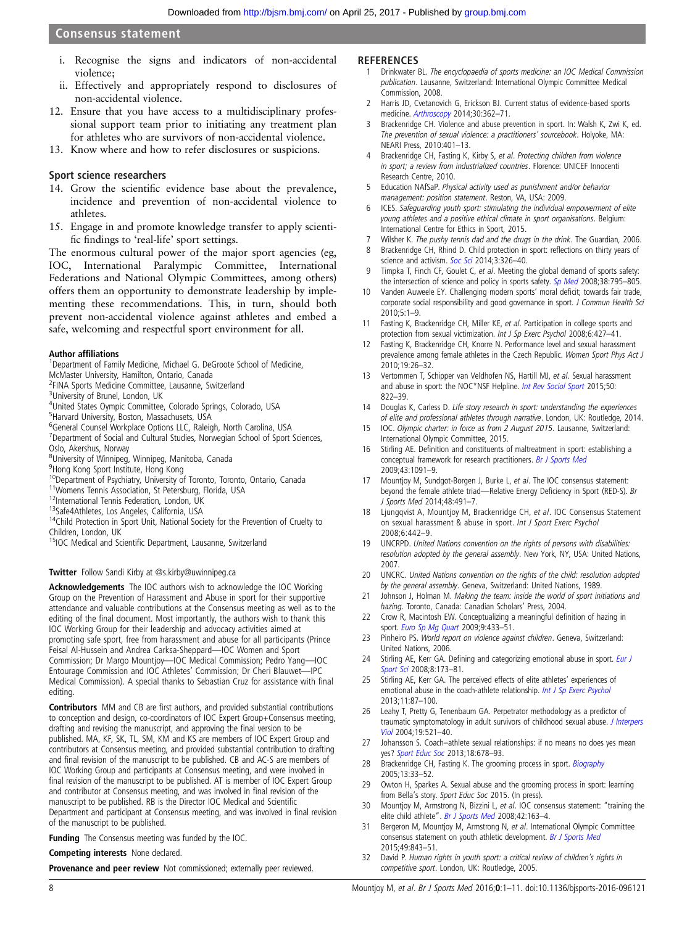- <span id="page-7-0"></span>i. Recognise the signs and indicators of non-accidental violence;
- ii. Effectively and appropriately respond to disclosures of non-accidental violence.
- 12. Ensure that you have access to a multidisciplinary professional support team prior to initiating any treatment plan for athletes who are survivors of non-accidental violence.
- 13. Know where and how to refer disclosures or suspicions.

#### Sport science researchers

- 14. Grow the scientific evidence base about the prevalence, incidence and prevention of non-accidental violence to athletes.
- 15. Engage in and promote knowledge transfer to apply scientific findings to 'real-life' sport settings.

The enormous cultural power of the major sport agencies (eg, IOC, International Paralympic Committee, International Federations and National Olympic Committees, among others) offers them an opportunity to demonstrate leadership by implementing these recommendations. This, in turn, should both prevent non-accidental violence against athletes and embed a safe, welcoming and respectful sport environment for all.

#### Author affiliations <sup>1</sup>

<sup>1</sup>Department of Family Medicine, Michael G. DeGroote School of Medicine,

- McMaster University, Hamilton, Ontario, Canada
- <sup>2</sup>FINA Sports Medicine Committee, Lausanne, Switzerland
- <sup>3</sup>University of Brunel, London, UK
- 4 United States Oympic Committee, Colorado Springs, Colorado, USA
- 5 Harvard University, Boston, Massachusets, USA
- <sup>6</sup>General Counsel Workplace Options LLC, Raleigh, North Carolina, USA

<sup>7</sup> Department of Social and Cultural Studies, Norwegian School of Sport Sciences, Oslo, Akershus, Norway

8 University of Winnipeg, Winnipeg, Manitoba, Canada

- 9 Hong Kong Sport Institute, Hong Kong
- 
- 
- 
- 
- <sup>10</sup>Department of Psychiatry, University of Toronto, Toronto, Ontario, Canada<br><sup>11</sup>Womens Tennis Association, St Petersburg, Florida, USA<br><sup>12</sup>International Tennis Federation, London, UK<br><sup>13</sup>Safe4Athletes, Los Angeles, Cali Children, London, UK
- <sup>15</sup>IOC Medical and Scientific Department, Lausanne, Switzerland

#### **Twitter** Follow Sandi Kirby at [@s.kirby@uwinnipeg.ca](http://twitter.com/s.kirby@uwinnipeg.ca)

Acknowledgements The IOC authors wish to acknowledge the IOC Working Group on the Prevention of Harassment and Abuse in sport for their supportive attendance and valuable contributions at the Consensus meeting as well as to the editing of the final document. Most importantly, the authors wish to thank this IOC Working Group for their leadership and advocacy activities aimed at promoting safe sport, free from harassment and abuse for all participants (Prince Feisal Al-Hussein and Andrea Carksa-Sheppard—IOC Women and Sport Commission; Dr Margo Mountjoy—IOC Medical Commission; Pedro Yang—IOC Entourage Commission and IOC Athletes' Commission; Dr Cheri Blauwet—IPC Medical Commission). A special thanks to Sebastian Cruz for assistance with final editing.

Contributors MM and CB are first authors, and provided substantial contributions to conception and design, co-coordinators of IOC Expert Group+Consensus meeting, drafting and revising the manuscript, and approving the final version to be published. MA, KF, SK, TL, SM, KM and KS are members of IOC Expert Group and contributors at Consensus meeting, and provided substantial contribution to drafting and final revision of the manuscript to be published. CB and AC-S are members of IOC Working Group and participants at Consensus meeting, and were involved in final revision of the manuscript to be published. AT is member of IOC Expert Group and contributor at Consensus meeting, and was involved in final revision of the manuscript to be published. RB is the Director IOC Medical and Scientific Department and participant at Consensus meeting, and was involved in final revision of the manuscript to be published.

Funding The Consensus meeting was funded by the IOC.

Competing interests None declared.

**Provenance and peer review** Not commissioned; externally peer reviewed.

#### **REFERENCES**

- 1 Drinkwater BL. The encyclopaedia of sports medicine: an IOC Medical Commission publication. Lausanne, Switzerland: International Olympic Committee Medical Commission, 2008.
- 2 Harris JD, Cvetanovich G, Erickson BJ. Current status of evidence-based sports medicine. [Arthroscopy](http://dx.doi.org/10.1016/j.arthro.2013.11.015) 2014;30:362-71.
- 3 Brackenridge CH. Violence and abuse prevention in sport. In: Walsh K, Zwi K, ed. The prevention of sexual violence: a practitioners' sourcebook. Holyoke, MA: NEARI Press, 2010:401–13.
- 4 Brackenridge CH, Fasting K, Kirby S, et al. Protecting children from violence in sport; a review from industrialized countries. Florence: UNICEF Innocenti Research Centre, 2010.
- 5 Education NAfSaP. Physical activity used as punishment and/or behavior management: position statement. Reston, VA, USA: 2009.
- 6 ICES. Safeguarding youth sport: stimulating the individual empowerment of elite young athletes and a positive ethical climate in sport organisations. Belgium: International Centre for Ethics in Sport, 2015.
- Wilsher K. The pushy tennis dad and the drugs in the drink. The Guardian, 2006.
- 8 Brackenridge CH, Rhind D. Child protection in sport: reflections on thirty years of science and activism. [Soc Sci](http://dx.doi.org/10.3390/socsci3030326) 2014;3:326-40.
- 9 Timpka T, Finch CF, Goulet C, et al. Meeting the global demand of sports safety: the intersection of science and policy in sports safety. [Sp Med](http://dx.doi.org/10.2165/00007256-200838100-00001) 2008;38:795-805.
- 10 Vanden Auweele EY. Challenging modern sports' moral deficit; towards fair trade, corporate social responsibility and good governance in sport. J Commun Health Sci 2010;5:1–9.
- Fasting K, Brackenridge CH, Miller KE, et al. Participation in college sports and protection from sexual victimization. Int J Sp Exerc Psychol 2008;6:427-41.
- 12 Fasting K, Brackenridge CH, Knorre N. Performance level and sexual harassment prevalence among female athletes in the Czech Republic. Women Sport Phys Act J 2010;19:26–32.
- 13 Vertommen T, Schipper van Veldhofen NS, Hartill MJ, et al. Sexual harassment and abuse in sport: the NOC\*NSF Helpline. [Int Rev Sociol Sport](http://dx.doi.org/10.1177/1012690213498079) 2015;50: 822–39.
- 14 Douglas K, Carless D. Life story research in sport: understanding the experiences of elite and professional athletes through narrative. London, UK: Routledge, 2014.
- 15 IOC. Olympic charter: in force as from 2 August 2015. Lausanne, Switzerland: International Olympic Committee, 2015.
- 16 Stirling AE. Definition and constituents of maltreatment in sport: establishing a conceptual framework for research practitioners. [Br J Sports Med](http://dx.doi.org/10.1136/bjsm.2008.051433) 2009;43:1091–9.
- 17 Mountjoy M, Sundgot-Borgen J, Burke L, et al. The IOC consensus statement: beyond the female athlete triad—Relative Energy Deficiency in Sport (RED-S). Br J Sports Med 2014;48:491–7.
- 18 Ljungqvist A, Mountjoy M, Brackenridge CH, et al. IOC Consensus Statement on sexual harassment & abuse in sport. Int J Sport Exerc Psychol 2008;6:442–9.
- 19 UNCRPD. United Nations convention on the rights of persons with disabilities: resolution adopted by the general assembly. New York, NY, USA: United Nations, 2007.
- 20 UNCRC. United Nations convention on the rights of the child: resolution adopted by the general assembly. Geneva, Switzerland: United Nations, 1989.
- 21 Johnson J, Holman M. Making the team: inside the world of sport initiations and hazing. Toronto, Canada: Canadian Scholars' Press, 2004.
- 22 Crow R, Macintosh EW. Conceptualizing a meaningful definition of hazing in sport. *[Euro Sp Mg Quart](http://dx.doi.org/10.1080/16184740903331937)* 2009;9:433-51.
- 23 Pinheiro PS. World report on violence against children. Geneva, Switzerland: United Nations, 2006.
- 24 Stirling AE, Kerr GA. Defining and categorizing emotional abuse in sport. *[Eur J](http://dx.doi.org/10.1080/17461390802086281)* [Sport Sci](http://dx.doi.org/10.1080/17461390802086281) 2008;8:173–81.
- 25 Stirling AE, Kerr GA. The perceived effects of elite athletes' experiences of emotional abuse in the coach-athlete relationship. [Int J Sp Exerc Psychol](http://dx.doi.org/10.1080/1612197X.2013.752173) 2013;11:87–100.
- 26 Leahy T, Pretty G, Tenenbaum GA. Perpetrator methodology as a predictor of traumatic symptomatology in adult survivors of childhood sexual abuse. *[J Interpers](http://dx.doi.org/10.1177/0886260504262963)* [Viol](http://dx.doi.org/10.1177/0886260504262963) 2004;19:521–40.
- 27 Johansson S. Coach-athlete sexual relationships: if no means no does yes mean yes? [Sport Educ Soc](http://dx.doi.org/10.1080/13573322.2013.777662) 2013;18:678–93.
- 28 Brackenridge CH, Fasting K. The grooming process in sport. [Biography](http://dx.doi.org/10.1191/0967550705ab016oa) 2005;13:33–52.
- 29 Owton H, Sparkes A. Sexual abuse and the grooming process in sport: learning from Bella's story. Sport Educ Soc 2015. (In press).
- 30 Mountjoy M, Armstrong N, Bizzini L, et al. IOC consensus statement: "training the elite child athlete". [Br J Sports Med](http://dx.doi.org/10.1136/bjsm.2007.044016) 2008;42:163-4.
- 31 Bergeron M, Mountjoy M, Armstrong N, et al. International Olympic Committee consensus statement on youth athletic development. [Br J Sports Med](http://dx.doi.org/10.1136/bjsports-2015-094962) 2015;49:843–51.
- 32 David P. Human rights in youth sport: a critical review of children's rights in competitive sport. London, UK: Routledge, 2005.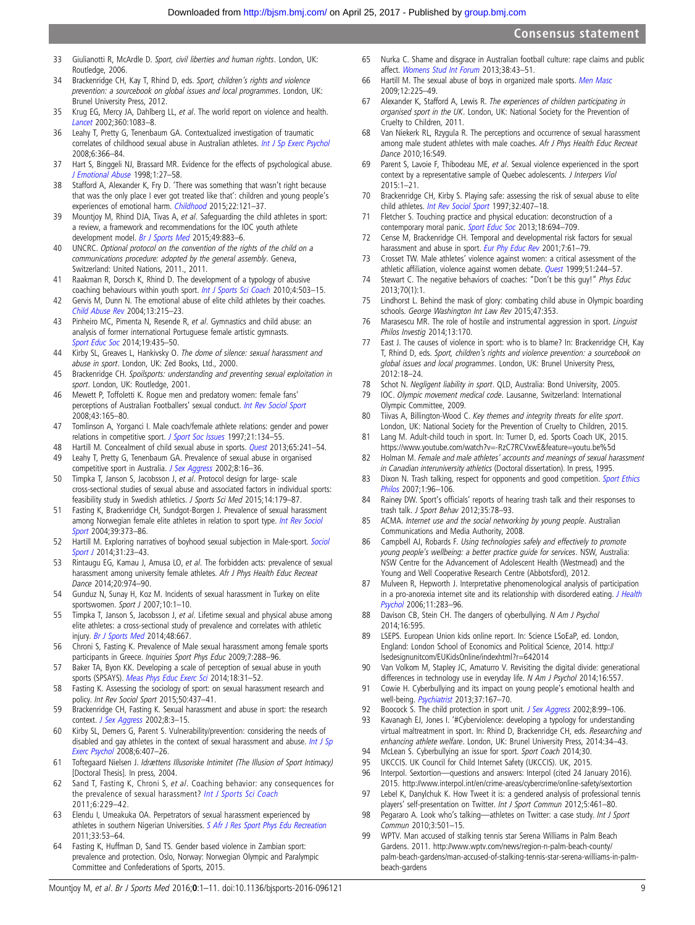- <span id="page-8-0"></span>33 Giulianotti R, McArdle D. Sport, civil liberties and human rights. London, UK: Routledge, 2006
- 34 Brackenridge CH, Kay T, Rhind D, eds. Sport, children's rights and violence prevention: a sourcebook on global issues and local programmes. London, UK: Brunel University Press, 2012.
- 35 Krug EG, Mercy JA, Dahlberg LL, et al. The world report on violence and health. [Lancet](http://dx.doi.org/10.1016/S0140-6736(02)11133-0) 2002;360:1083–8.
- 36 Leahy T, Pretty G, Tenenbaum GA. Contextualized investigation of traumatic correlates of childhood sexual abuse in Australian athletes. [Int J Sp Exerc Psychol](http://dx.doi.org/10.1080/1612197X.2008.9671880) 2008;6:366–84.
- 37 Hart S, Binggeli NJ, Brassard MR. Evidence for the effects of psychological abuse. [J Emotional Abuse](http://dx.doi.org/10.1300/J135v01n01_03) 1998;1:27–58.
- 38 Stafford A, Alexander K, Fry D. 'There was something that wasn't right because that was the only place I ever got treated like that': children and young people's experiences of emotional harm. [Childhood](http://dx.doi.org/10.1177/0907568213505625) 2015;22:121–37.
- 39 Mountjoy M, Rhind DJA, Tivas A, et al. Safeguarding the child athletes in sport: a review, a framework and recommendations for the IOC youth athlete development model. [Br J Sports Med](http://dx.doi.org/10.1136/bjsports-2015-094619) 2015;49:883-6.
- 40 UNCRC. Optional protocol on the convention of the rights of the child on a communications procedure: adopted by the general assembly. Geneva, Switzerland: United Nations, 2011., 2011.
- 41 Raakman R, Dorsch K, Rhind D. The development of a typology of abusive coaching behaviours within youth sport. [Int J Sports Sci Coach](http://dx.doi.org/10.1260/1747-9541.5.4.503) 2010;4:503-15.
- 42 Gervis M, Dunn N. The emotional abuse of elite child athletes by their coaches. [Child Abuse Rev](http://dx.doi.org/10.1002/car.843) 2004;13:215–23.
- 43 Pinheiro MC, Pimenta N, Resende R, et al. Gymnastics and child abuse: an analysis of former international Portuguese female artistic gymnasts. [Sport Educ Soc](http://dx.doi.org/10.1080/13573322.2012.679730) 2014;19:435–50.
- 44 Kirby SL, Greaves L, Hankivsky O. The dome of silence: sexual harassment and abuse in sport. London, UK: Zed Books, Ltd., 2000.
- 45 Brackenridge CH. Spoilsports: understanding and preventing sexual exploitation in sport. London, UK: Routledge, 2001.
- 46 Mewett P, Toffoletti K. Rogue men and predatory women: female fans' perceptions of Australian Footballers' sexual conduct. [Int Rev Sociol Sport](http://dx.doi.org/10.1177/1012690208095377) 2008;43:165–80.
- 47 Tomlinson A, Yorganci I. Male coach/female athlete relations: gender and power relations in competitive sport. [J Sport Soc Issues](http://dx.doi.org/10.1177/019372397021002003) 1997;21:134-55.
- 48 Hartill M. Concealment of child sexual abuse in sports. [Quest](http://dx.doi.org/10.1080/00336297.2013.773532) 2013;65:241-54.
- 49 Leahy T, Pretty G, Tenenbaum GA. Prevalence of sexual abuse in organised competitive sport in Australia. [J Sex Aggress](http://dx.doi.org/10.1080/13552600208413337) 2002;8:16-36.
- 50 Timpka T, Janson S, Jacobsson J, et al. Protocol design for large- scale cross-sectional studies of sexual abuse and associated factors in individual sports: feasibility study in Swedish athletics. J Sports Sci Med 2015;14:179–87.
- 51 Fasting K, Brackenridge CH, Sundgot-Borgen J. Prevalence of sexual harassment among Norwegian female elite athletes in relation to sport type. [Int Rev Sociol](http://dx.doi.org/10.1177/1012690204049804) [Sport](http://dx.doi.org/10.1177/1012690204049804) 2004;39:373–86.
- 52 Hartill M. Exploring narratives of boyhood sexual subjection in Male-sport. [Sociol](http://dx.doi.org/10.1123/ssj.2012-0216) [Sport J](http://dx.doi.org/10.1123/ssj.2012-0216) 2014:31:23-43.
- 53 Rintaugu EG, Kamau J, Amusa LO, et al. The forbidden acts: prevalence of sexual harassment among university female athletes. Afr J Phys Health Educ Recreat Dance 2014;20:974–90.
- 54 Gunduz N, Sunay H, Koz M. Incidents of sexual harassment in Turkey on elite sportswomen. Sport J 2007;10:1-10.
- 55 Timpka T, Janson S, Jacobsson J, et al. Lifetime sexual and physical abuse among elite athletes: a cross-sectional study of prevalence and correlates with athletic injury. [Br J Sports Med](http://dx.doi.org/10.1136/bjsports-2014-093494.285) 2014;48:667.
- 56 Chroni S, Fasting K. Prevalence of Male sexual harassment among female sports participants in Greece. Inquiries Sport Phys Educ 2009;7:288–96.
- 57 Baker TA, Byon KK. Developing a scale of perception of sexual abuse in youth sports (SPSAYS). [Meas Phys Educ Exerc Sci](http://dx.doi.org/10.1080/1091367X.2013.841700) 2014;18:31-52.
- 58 Fasting K. Assessing the sociology of sport: on sexual harassment research and policy. Int Rev Sociol Sport 2015;50:437–41.
- 59 Brackenridge CH, Fasting K. Sexual harassment and abuse in sport: the research context. *[J Sex Aggress](http://dx.doi.org/10.1080/13552600208413336)* 2002;8:3-15.
- 60 Kirby SL, Demers G, Parent S. Vulnerability/prevention: considering the needs of disabled and gay athletes in the context of sexual harassment and abuse. [Int J Sp](http://dx.doi.org/10.1080/1612197X.2008.9671882) [Exerc Psychol](http://dx.doi.org/10.1080/1612197X.2008.9671882) 2008;6:407–26.
- 61 Toftegaard Nielsen J. Idrættens Illusoriske Intimitet (The Illusion of Sport Intimacy) [Doctoral Thesis]. In press, 2004.
- 62 Sand T, Fasting K, Chroni S, et al. Coaching behavior: any consequences for the prevalence of sexual harassment? [Int J Sports Sci Coach](http://dx.doi.org/10.1260/1747-9541.6.2.229) 2011;6:229–42.
- 63 Elendu I, Umeakuka OA. Perpetrators of sexual harassment experienced by athletes in southern Nigerian Universities. [S Afr J Res Sport Phys Edu Recreation](http://dx.doi.org/10.4314/sajrs.v33i1.65486) 2011;33:53–64.
- 64 Fasting K, Huffman D, Sand TS. Gender based violence in Zambian sport: prevalence and protection. Oslo, Norway: Norwegian Olympic and Paralympic Committee and Confederations of Sports, 2015.
- 65 Nurka C. Shame and disgrace in Australian football culture: rape claims and public affect. [Womens Stud Int Forum](http://dx.doi.org/10.1016/j.wsif.2013.02.003) 2013;38:43–51.
- 66 Hartill M. The sexual abuse of boys in organized male sports. [Men Masc](http://dx.doi.org/10.1177/1097184X07313361) 2009;12:225–49.
- 67 Alexander K, Stafford A, Lewis R. The experiences of children participating in organised sport in the UK. London, UK: National Society for the Prevention of Cruelty to Children, 2011.
- 68 Van Niekerk RL, Rzygula R. The perceptions and occurrence of sexual harassment among male student athletes with male coaches. Afr J Phys Health Educ Recreat Dance 2010;16:S49.
- 69 Parent S, Lavoie F, Thibodeau ME, et al. Sexual violence experienced in the sport context by a representative sample of Quebec adolescents. *J Interpers Viol* 2015:1–21.
- 70 Brackenridge CH, Kirby S. Playing safe: assessing the risk of sexual abuse to elite child athletes. [Int Rev Sociol Sport](http://dx.doi.org/10.1177/101269097032004005) 1997;32:407-18.
- 71 Fletcher S. Touching practice and physical education: deconstruction of a contemporary moral panic. [Sport Educ Soc](http://dx.doi.org/10.1080/13573322.2013.774272) 2013;18:694-709
- 72 Cense M, Brackenridge CH. Temporal and developmental risk factors for sexual harassment and abuse in sport. [Eur Phy Educ Rev](http://dx.doi.org/10.1177/1356336X010071006) 2001;7:61-79.
- 73 Crosset TW. Male athletes' violence against women: a critical assessment of the athletic affiliation, violence against women debate. [Quest](http://dx.doi.org/10.1080/00336297.1999.10491684) 1999;51:244-57.
- 74 Stewart C. The negative behaviors of coaches: "Don't be this guy!" Phys Educ 2013;70(1):1.
- 75 Lindhorst L. Behind the mask of glory: combating child abuse in Olympic boarding schools. George Washington Int Law Rev 2015;47:353.
- 76 Marasescu MR. The role of hostile and instrumental aggression in sport. Linguist Philos Investig 2014;13:170.
- 77 East J. The causes of violence in sport: who is to blame? In: Brackenridge CH, Kay T, Rhind D, eds. Sport, children's rights and violence prevention: a sourcebook on global issues and local programmes. London, UK: Brunel University Press, 2012:18–24.
- 78 Schot N. Negligent liability in sport. QLD, Australia: Bond University, 2005.
- 79 IOC. Olympic movement medical code. Lausanne, Switzerland: International Olympic Committee, 2009.
- 80 Tiivas A, Billington-Wood C. Key themes and integrity threats for elite sport. London, UK: National Society for the Prevention of Cruelty to Children, 2015.
- 81 Lang M. Adult-child touch in sport. In: Turner D, ed. Sports Coach UK, 2015. <https://www.youtube.com/watch?v=-RzC7RCVxwE&feature=youtu.be%5d>
- 82 Holman M. Female and male athletes' accounts and meanings of sexual harassment in Canadian interuniversity athletics (Doctoral dissertation). In press, 1995.
- 83 Dixon N. Trash talking, respect for opponents and good competition. [Sport Ethics](http://dx.doi.org/10.1080/17511320601143025) [Philos](http://dx.doi.org/10.1080/17511320601143025) 2007;1:96–106.
- 84 Rainey DW. Sport's officials' reports of hearing trash talk and their responses to trash talk. J Sport Behav 2012;35:78–93.
- ACMA. Internet use and the social networking by young people. Australian Communications and Media Authority, 2008.
- 86 Campbell AJ, Robards F. Using technologies safely and effectively to promote young people's wellbeing: a better practice guide for services. NSW, Australia: NSW Centre for the Advancement of Adolescent Health (Westmead) and the Young and Well Cooperative Research Centre (Abbotsford), 2012.
- 87 Mulveen R, Hepworth J. Interpretative phenomenological analysis of participation in a pro-anorexia internet site and its relationship with disordered eating. [J Health](http://dx.doi.org/10.1177/1359105306061187) [Psychol](http://dx.doi.org/10.1177/1359105306061187) 2006;11:283–96.
- 88 Davison CB, Stein CH. The dangers of cyberbullying. N Am J Psychol 2014;16:595.
- 89 LSEPS. European Union kids online report. In: Science LSoEaP, ed. London, England: London School of Economics and Political Science, 2014. [http://](http://lsedesignunitcom/EUKidsOnline/indexhtml?r=642014) [lsedesignunitcom/EUKidsOnline/indexhtml?r=642014](http://lsedesignunitcom/EUKidsOnline/indexhtml?r=642014)
- 90 Van Volkom M, Stapley JC, Amaturro V. Revisiting the digital divide: generational differences in technology use in everyday life. N Am J Psychol 2014;16:557.
- 91 Cowie H. Cyberbullying and its impact on young people's emotional health and well-being. [Psychiatrist](http://dx.doi.org/10.1192/pb.bp.112.040840) 2013;37:167–70.
- 92 Boocock S. The child protection in sport unit. [J Sex Aggress](http://dx.doi.org/10.1080/13552600208413342) 2002;8:99-106.
- 93 Kavanagh EJ, Jones I. '#Cyberviolence: developing a typology for understanding virtual maltreatment in sport. In: Rhind D, Brackenridge CH, eds. Researching and enhancing athlete welfare. London, UK: Brunel University Press, 2014:34–43.
- 94 McLean S. Cyberbullying an issue for sport. Sport Coach 2014;30.
- 95 UKCCIS. UK Council for Child Internet Safety (UKCCIS). UK, 2015.
- 96 Interpol. Sextortion—questions and answers: Interpol (cited 24 January 2016). 2015.<http://www.interpol.int/en/crime-areas/cybercrime/online-safety/sextortion>
- 97 Lebel K, Danylchuk K. How Tweet it is: a gendered analysis of professional tennis players' self-presentation on Twitter. Int J Sport Commun 2012;5:461-80.
- 98 Pegararo A. Look who's talking—athletes on Twitter: a case study. Int J Sport Commun 2010;3:501–15.
- WPTV. Man accused of stalking tennis star Serena Williams in Palm Beach Gardens. 2011. [http://www.wptv.com/news/region-n-palm-beach-county/](http://www.wptv.com/news/region-n-palm-beach-county/palm-beach-gardens/man-accused-of-stalking-tennis-star-serena-williams-in-palm-beach-gardens) [palm-beach-gardens/man-accused-of-stalking-tennis-star-serena-williams-in-palm](http://www.wptv.com/news/region-n-palm-beach-county/palm-beach-gardens/man-accused-of-stalking-tennis-star-serena-williams-in-palm-beach-gardens)[beach-gardens](http://www.wptv.com/news/region-n-palm-beach-county/palm-beach-gardens/man-accused-of-stalking-tennis-star-serena-williams-in-palm-beach-gardens)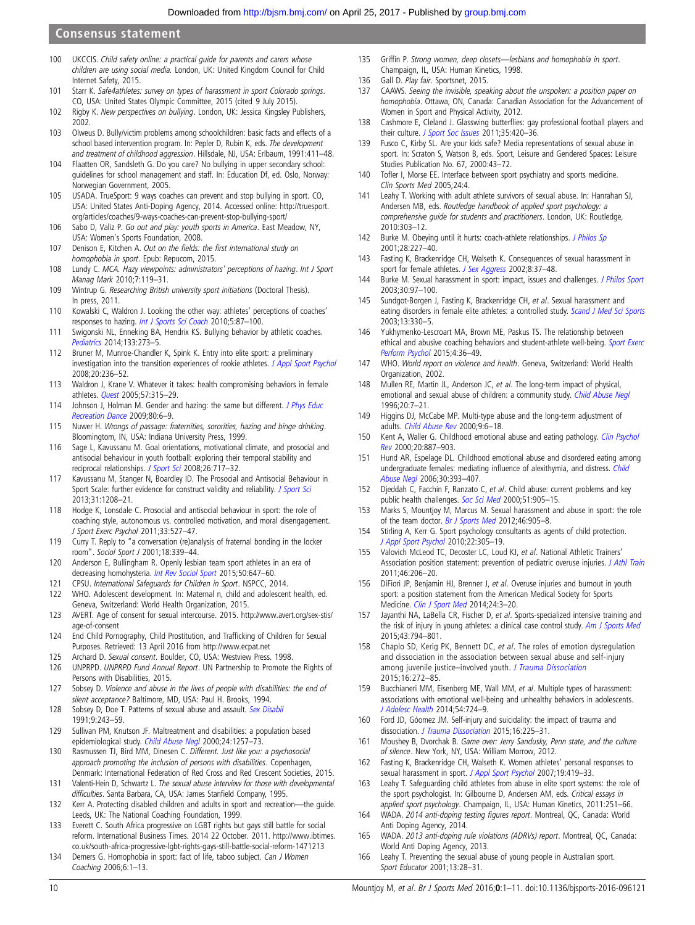- <span id="page-9-0"></span>100 UKCCIS. Child safety online: a practical guide for parents and carers whose children are using social media. London, UK: United Kingdom Council for Child Internet Safety, 2015.
- 101 Starr K. Safe4athletes: survey on types of harassment in sport Colorado springs. CO, USA: United States Olympic Committee, 2015 (cited 9 July 2015).
- 102 Rigby K. New perspectives on bullying. London, UK: Jessica Kingsley Publishers, 2002.
- 103 Olweus D. Bully/victim problems among schoolchildren: basic facts and effects of a school based intervention program. In: Pepler D, Rubin K, eds. The development and treatment of childhood aggression. Hillsdale, NJ, USA: Erlbaum, 1991:411–48.
- 104 Flaatten OR, Sandsleth G. Do you care? No bullying in upper secondary school: guidelines for school management and staff. In: Education Df, ed. Oslo, Norway: Norwegian Government, 2005.
- 105 USADA. TrueSport: 9 ways coaches can prevent and stop bullying in sport. CO, USA: United States Anti-Doping Agency, 2014. Accessed online: [http://truesport.](http://truesport.org/articles/coaches/9-ways-coaches-can-prevent-stop-bullying-sport/) [org/articles/coaches/9-ways-coaches-can-prevent-stop-bullying-sport/](http://truesport.org/articles/coaches/9-ways-coaches-can-prevent-stop-bullying-sport/)
- 106 Sabo D, Valiz P. Go out and play: youth sports in America. East Meadow, NY, USA: Women's Sports Foundation, 2008.
- 107 Denison E, Kitchen A. Out on the fields: the first international study on homophobia in sport. Epub: Repucom, 2015.
- 108 Lundy C. MCA. Hazy viewpoints: administrators' perceptions of hazing. Int J Sport Manag Mark 2010;7:119–31.
- 109 Wintrup G. Researching British university sport initiations (Doctoral Thesis). In press, 2011.
- 110 Kowalski C, Waldron J. Looking the other way: athletes' perceptions of coaches' responses to hazing. [Int J Sports Sci Coach](http://dx.doi.org/10.1260/1747-9541.5.1.87) 2010;5:87-100.
- 111 Swigonski NL, Enneking BA, Hendrix KS. Bullying behavior by athletic coaches. [Pediatrics](http://dx.doi.org/10.1542/peds.2013-3146) 2014;133:273–5.
- 112 Bruner M, Munroe-Chandler K, Spink K. Entry into elite sport: a preliminary investigation into the transition experiences of rookie athletes. [J Appl Sport Psychol](http://dx.doi.org/10.1080/10413200701867745) 2008;20:236–52.
- 113 Waldron J, Krane V. Whatever it takes: health compromising behaviors in female athletes. Ouest 2005:57:315-29.
- 114 Johnson J, Holman M. Gender and hazing: the same but different. [J Phys Educ](http://dx.doi.org/10.1080/07303084.2009.10598315) [Recreation Dance](http://dx.doi.org/10.1080/07303084.2009.10598315) 2009;80:6–9.
- 115 Nuwer H. Wrongs of passage: fraternities, sororities, hazing and binge drinking. Bloomingtom, IN, USA: Indiana University Press, 1999.
- 116 Sage L, Kavussanu M. Goal orientations, motivational climate, and prosocial and antisocial behaviour in youth football: exploring their temporal stability and reciprocal relationships. [J Sport Sci](http://dx.doi.org/10.1080/02640410701769716) 2008;26:717-32.
- 117 Kavussanu M, Stanger N, Boardley ID. The Prosocial and Antisocial Behaviour in Sport Scale: further evidence for construct validity and reliability. [J Sport Sci](http://dx.doi.org/10.1080/02640414.2013.775473) 2013;31:1208–21.
- 118 Hodge K, Lonsdale C. Prosocial and antisocial behaviour in sport: the role of coaching style, autonomous vs. controlled motivation, and moral disengagement. J Sport Exerc Psychol 2011;33:527–47.
- 119 Curry T. Reply to "a conversation (re)analysis of fraternal bonding in the locker room". Sociol Sport J 2001;18:339–44.
- 120 Anderson E, Bullingham R. Openly lesbian team sport athletes in an era of decreasing homohysteria. [Int Rev Sociol Sport](http://dx.doi.org/10.1177/1012690213490520) 2015;50:647-60.
- 121 CPSU. International Safeguards for Children in Sport. NSPCC, 2014.
- 122 WHO. Adolescent development. In: Maternal n, child and adolescent health, ed. Geneva, Switzerland: World Health Organization, 2015.
- 123 AVERT. Age of consent for sexual intercourse. 2015. [http://www.avert.org/sex-stis/](http://www.avert.org/sex-stis/age-of-consent) [age-of-consent](http://www.avert.org/sex-stis/age-of-consent)
- 124 End Child Pornography, Child Prostitution, and Trafficking of Children for Sexual Purposes. Retrieved: 13 April 2016 from<http://www.ecpat.net>
- 125 Archard D. Sexual consent. Boulder, CO, USA: Westview Press. 1998.
- 126 UNPRPD. UNPRPD Fund Annual Report. UN Partnership to Promote the Rights of Persons with Disabilities, 2015.
- 127 Sobsey D. Violence and abuse in the lives of people with disabilities: the end of silent acceptance? Baltimore, MD, USA: Paul H. Brooks, 1994.
- 128 Sobsey D, Doe T. Patterns of sexual abuse and assault. [Sex Disabil](http://dx.doi.org/10.1007/BF01102395) 1991;9:243–59.
- 129 Sullivan PM, Knutson JF. Maltreatment and disabilities: a population based epidemiological study. [Child Abuse Negl](http://dx.doi.org/10.1016/S0145-2134(00)00190-3) 2000;24:1257-73.
- 130 Rasmussen TJ, Bird MM, Dinesen C. Different. Just like you: a psychosocial approach promoting the inclusion of persons with disabilities. Copenhagen, Denmark: International Federation of Red Cross and Red Crescent Societies, 2015.
- 131 Valenti-Hein D, Schwartz L. The sexual abuse interview for those with developmental difficulties. Santa Barbara, CA, USA: James Stanfield Company, 1995.
- 132 Kerr A. Protecting disabled children and adults in sport and recreation—the guide. Leeds, UK: The National Coaching Foundation, 1999.
- 133 Everett C. South Africa progressive on LGBT rights but gays still battle for social reform. International Business Times. 2014 22 October. 2011. [http://www.ibtimes.](http://www.ibtimes.co.uk/south-africa-progressive-lgbt-rights-gays-still-battle-social-reform-1471213) [co.uk/south-africa-progressive-lgbt-rights-gays-still-battle-social-reform-1471213](http://www.ibtimes.co.uk/south-africa-progressive-lgbt-rights-gays-still-battle-social-reform-1471213)
- 134 Demers G. Homophobia in sport: fact of life, taboo subject. Can J Women Coaching 2006;6:1–13.
- 135 Griffin P. Strong women, deep closets-lesbians and homophobia in sport. Champaign, IL, USA: Human Kinetics, 1998.
- 136 Gall D. Play fair. Sportsnet, 2015.
- 137 CAAWS. Seeing the invisible, speaking about the unspoken: a position paper on homophobia. Ottawa, ON, Canada: Canadian Association for the Advancement of Women in Sport and Physical Activity, 2012.
- 138 Cashmore E, Cleland J. Glasswing butterflies: gay professional football players and their culture. [J Sport Soc Issues](http://dx.doi.org/10.1177/0193723511420163) 2011;35:420-36.
- 139 Fusco C, Kirby SL. Are your kids safe? Media representations of sexual abuse in sport. In: Scraton S, Watson B, eds. Sport, Leisure and Gendered Spaces: Leisure Studies Publication No. 67, 2000:43–72.
- 140 Tofler I, Morse EE. Interface between sport psychiatry and sports medicine. Clin Sports Med 2005;24:4.
- 141 Leahy T. Working with adult athlete survivors of sexual abuse. In: Hanrahan SJ, Andersen MB, eds. Routledge handbook of applied sport psychology: a comprehensive guide for students and practitioners. London, UK: Routledge, 2010:303–12.
- 142 Burke M. Obeying until it hurts: coach-athlete relationships. [J Philos Sp](http://dx.doi.org/10.1080/00948705.2001.9714616) 2001;28:227–40.
- 143 Fasting K, Brackenridge CH, Walseth K. Consequences of sexual harassment in sport for female athletes. [J Sex Aggress](http://dx.doi.org/10.1080/13552600208413338) 2002;8:37-48.
- 144 Burke M. Sexual harassment in sport: impact, issues and challenges. [J Philos Sport](http://dx.doi.org/10.1080/00948705.2003.9714564) 2003;30:97–100.
- 145 Sundgot-Borgen J, Fasting K, Brackenridge CH, et al. Sexual harassment and eating disorders in female elite athletes: a controlled study. [Scand J Med Sci Sports](http://dx.doi.org/10.1034/j.1600-0838.2003.00295.x) 2003;13:330–5.
- 146 Yukhymenko-Lescroart MA, Brown ME, Paskus TS. The relationship between ethical and abusive coaching behaviors and student-athlete well-being. [Sport Exerc](http://dx.doi.org/10.1037/spy0000023) [Perform Psychol](http://dx.doi.org/10.1037/spy0000023) 2015;4:36-49.
- 147 WHO. World report on violence and health. Geneva, Switzerland: World Health Organization, 2002.
- 148 Mullen RE, Martin JL, Anderson JC, et al. The long-term impact of physical, emotional and sexual abuse of children: a community study. [Child Abuse Negl](http://dx.doi.org/10.1016/0145-2134(95)00112-3) 1996;20:7–21.
- 149 Higgins DJ, McCabe MP. Multi-type abuse and the long-term adjustment of adults. [Child Abuse Rev](http://dx.doi.org/10.1002/(SICI)1099-0852(200001/02)9:1<6::AID-CAR579>3.0.CO;2-W) 2000;9:6–18.
- 150 Kent A, Waller G. Childhood emotional abuse and eating pathology. [Clin Psychol](http://dx.doi.org/10.1016/S0272-7358(99)00018-5) [Rev](http://dx.doi.org/10.1016/S0272-7358(99)00018-5) 2000;20:887–903.
- 151 Hund AR, Espelage DL. Childhood emotional abuse and disordered eating among undergraduate females: mediating influence of alexithymia, and distress. *[Child](http://dx.doi.org/10.1016/j.chiabu.2005.11.003)* [Abuse Negl](http://dx.doi.org/10.1016/j.chiabu.2005.11.003) 2006;30:393–407.
- 152 Djeddah C, Facchin F, Ranzato C, et al. Child abuse: current problems and key public health challenges. [Soc Sci Med](http://dx.doi.org/10.1016/S0277-9536(00)00070-8) 2000;51:905-15.
- 153 Marks S, Mountjoy M, Marcus M. Sexual harassment and abuse in sport: the role of the team doctor. [Br J Sports Med](http://dx.doi.org/10.1136/bjsports-2011-090345) 2012;46:905-8.
- 154 Stirling A, Kerr G. Sport psychology consultants as agents of child protection. [J Appl Sport Psychol](http://dx.doi.org/10.1080/10413201003795485) 2010;22:305–19.
- 155 Valovich McLeod TC, Decoster LC, Loud KJ, et al. National Athletic Trainers' Association position statement: prevention of pediatric overuse injuries. [J Athl Train](http://dx.doi.org/10.4085/1062-6050-46.2.206) 2011;46:206–20.
- 156 DiFiori JP, Benjamin HJ, Brenner J, et al. Overuse injuries and burnout in youth sport: a position statement from the American Medical Society for Sports Medicine. [Clin J Sport Med](http://dx.doi.org/10.1097/JSM.0000000000000060) 2014;24:3–20.
- 157 Jayanthi NA, LaBella CR, Fischer D, et al. Sports-specialized intensive training and the risk of injury in young athletes: a clinical case control study. [Am J Sports Med](http://dx.doi.org/10.1177/0363546514567298) 2015;43:794–801.
- 158 Chaplo SD, Kerig PK, Bennett DC, et al. The roles of emotion dysregulation and dissociation in the association between sexual abuse and self-injury among juvenile justice-involved youth. [J Trauma Dissociation](http://dx.doi.org/10.1080/15299732.2015.989647) 2015;16:272–85.
- 159 Bucchianeri MM, Eisenberg ME, Wall MM, et al. Multiple types of harassment: associations with emotional well-being and unhealthy behaviors in adolescents. [J Adolesc Health](http://dx.doi.org/10.1016/j.jadohealth.2013.10.205) 2014;54:724–9.
- 160 Ford JD, Góomez JM. Self-injury and suicidality: the impact of trauma and dissociation. [J Trauma Dissociation](http://dx.doi.org/10.1080/15299732.2015.989648) 2015;16:225-31.
- 161 Moushey B, Dvorchak B. Game over: Jerry Sandusky, Penn state, and the culture of silence. New York, NY, USA: William Morrow, 2012.
- 162 Fasting K, Brackenridge CH, Walseth K. Women athletes' personal responses to sexual harassment in sport. [J Appl Sport Psychol](http://dx.doi.org/10.1080/10413200701599165) 2007;19:419-33.
- 163 Leahy T. Safeguarding child athletes from abuse in elite sport systems: the role of the sport psychologist. In: Gilbourne D, Andersen AM, eds. Critical essays in applied sport psychology. Champaign, IL, USA: Human Kinetics, 2011:251–66.
- 164 WADA. 2014 anti-doping testing figures report. Montreal, QC, Canada: World Anti Doping Agency, 2014.
- 165 WADA. 2013 anti-doping rule violations (ADRVs) report. Montreal, QC, Canada: World Anti Doping Agency, 2013.
- 166 Leahy T. Preventing the sexual abuse of young people in Australian sport. Sport Educator 2001;13:28–31.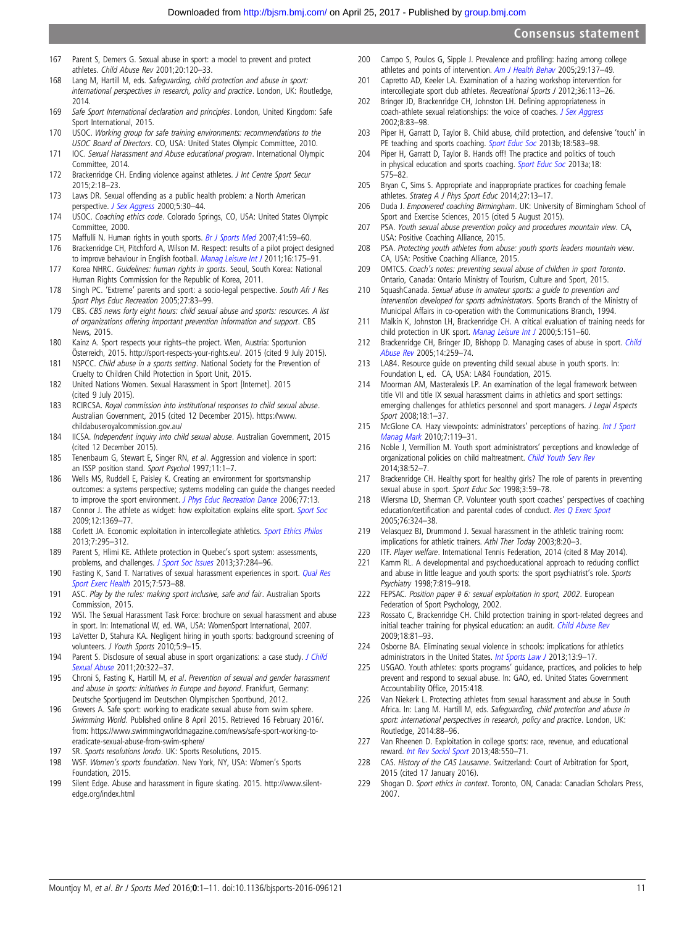- <span id="page-10-0"></span>167 Parent S, Demers G. Sexual abuse in sport: a model to prevent and protect athletes. Child Abuse Rev 2001;20:120–33.
- 168 Lang M, Hartill M, eds. Safeguarding, child protection and abuse in sport: international perspectives in research, policy and practice. London, UK: Routledge, 2014.
- 169 Safe Sport International declaration and principles. London, United Kingdom: Safe Sport International, 2015.
- 170 USOC. Working group for safe training environments: recommendations to the USOC Board of Directors. CO, USA: United States Olympic Committee, 2010.
- 171 IOC. Sexual Harassment and Abuse educational program. International Olympic Committee, 2014.
- 172 Brackenridge CH. Ending violence against athletes. J Int Centre Sport Secur 2015;2:18–23.
- 173 Laws DR. Sexual offending as a public health problem: a North American perspective. [J Sex Aggress](http://dx.doi.org/10.1080/13552600008413294) 2000;5:30-44.
- 174 USOC. Coaching ethics code. Colorado Springs, CO, USA: United States Olympic Committee, 2000.
- 175 Maffulli N. Human rights in youth sports. [Br J Sports Med](http://dx.doi.org/10.1136/bjsm.2006.028795) 2007;41:59-60.
- 176 Brackenridge CH, Pitchford A, Wilson M. Respect: results of a pilot project designed to improve behaviour in English football. [Manag Leisure Int J](http://dx.doi.org/10.1080/13606719.2011.583406) 2011;16:175-91.
- 177 Korea NHRC. Guidelines: human rights in sports. Seoul, South Korea: National Human Rights Commission for the Republic of Korea, 2011.
- 178 Singh PC. 'Extreme' parents and sport: a socio-legal perspective. South Afr J Res Sport Phys Educ Recreation 2005;27:83–99.
- 179 CBS. CBS news forty eight hours: child sexual abuse and sports: resources. A list of organizations offering important prevention information and support. CBS News, 2015.
- 180 Kainz A. Sport respects your rights–the project. Wien, Austria: Sportunion Österreich, 2015. [http://sport-respects-your-rights.eu/.](http://sport-respects-your-rights.eu/) 2015 (cited 9 July 2015).
- 181 NSPCC. Child abuse in a sports setting. National Society for the Prevention of Cruelty to Children Child Protection in Sport Unit, 2015.
- 182 United Nations Women. Sexual Harassment in Sport [Internet]. 2015 (cited 9 July 2015).
- 183 RCIRCSA. Royal commission into institutional responses to child sexual abuse. Australian Government, 2015 (cited 12 December 2015). [https://www.](https://www.childabuseroyalcommission.gov.au/) [childabuseroyalcommission.gov.au/](https://www.childabuseroyalcommission.gov.au/)
- 184 IICSA. Independent inquiry into child sexual abuse. Australian Government, 2015 (cited 12 December 2015).
- 185 Tenenbaum G, Stewart E, Singer RN, et al. Aggression and violence in sport: an ISSP position stand. Sport Psychol 1997;11:1–7.
- 186 Wells MS, Ruddell E, Paisley K. Creating an environment for sportsmanship outcomes: a systems perspective; systems modeling can guide the changes needed to improve the sport environment. *[J Phys Educ Recreation Dance](http://dx.doi.org/10.1080/07303084.2006.10597901)* 2006;77:13.
- 187 Connor J. The athlete as widget: how exploitation explains elite sport. [Sport Soc](http://dx.doi.org/10.1080/17430430903204900) 2009;12:1369–77.
- 188 Corlett JA. Economic exploitation in intercollegiate athletics. [Sport Ethics Philos](http://dx.doi.org/10.1080/17511321.2013.824499) 2013;7:295–312.
- 189 Parent S, Hlimi KE. Athlete protection in Quebec's sport system: assessments, problems, and challenges. [J Sport Soc Issues](http://dx.doi.org/10.1177/0193723512467358) 2013;37:284-96.
- 190 Fasting K, Sand T. Narratives of sexual harassment experiences in sport. *[Qual Res](http://dx.doi.org/10.1080/2159676X.2015.1008028)* [Sport Exerc Health](http://dx.doi.org/10.1080/2159676X.2015.1008028) 2015;7:573-88.
- 191 ASC. Play by the rules: making sport inclusive, safe and fair. Australian Sports Commission, 2015.
- 192 WSI. The Sexual Harassment Task Force: brochure on sexual harassment and abuse in sport. In: International W, ed. WA, USA: WomenSport International, 2007.
- 193 LaVetter D, Stahura KA. Negligent hiring in youth sports: background screening of volunteers. J Youth Sports 2010;5:9-15.
- 194 Parent S. Disclosure of sexual abuse in sport organizations: a case study. [J Child](http://dx.doi.org/10.1080/10538712.2011.573459) [Sexual Abuse](http://dx.doi.org/10.1080/10538712.2011.573459) 2011;20:322–37.
- 195 Chroni S, Fasting K, Hartill M, et al. Prevention of sexual and gender harassment and abuse in sports: initiatives in Europe and beyond. Frankfurt, Germany: Deutsche Sportjugend im Deutschen Olympischen Sportbund, 2012.
- 196 Grevers A. Safe sport: working to eradicate sexual abuse from swim sphere. Swimming World. Published online 8 April 2015. Retrieved 16 February 2016/. from: [https://www.swimmingworldmagazine.com/news/safe-sport-working-to](https://www.swimmingworldmagazine.com/news/safe-sport-working-to-eradicate-sexual-abuse-from-swim-sphere/)[eradicate-sexual-abuse-from-swim-sphere/](https://www.swimmingworldmagazine.com/news/safe-sport-working-to-eradicate-sexual-abuse-from-swim-sphere/)
- 197 SR. Sports resolutions londo. UK: Sports Resolutions, 2015.
- 198 WSF. Women's sports foundation. New York, NY, USA: Women's Sports Foundation, 2015.
- 199 Silent Edge. Abuse and harassment in figure skating. 2015. [http://www.silent](http://www.silent-edge.org/index.html)[edge.org/index.html](http://www.silent-edge.org/index.html)
- 200 Campo S, Poulos G, Sipple J. Prevalence and profiling: hazing among college athletes and points of intervention. [Am J Health Behav](http://dx.doi.org/10.5993/AJHB.29.2.5) 2005;29:137-49.
- 201 Capretto AD, Keeler LA. Examination of a hazing workshop intervention for intercollegiate sport club athletes. Recreational Sports J 2012;36:113–26.
- 202 Bringer JD, Brackenridge CH, Johnston LH. Defining appropriateness in coach-athlete sexual relationships: the voice of coaches. [J Sex Aggress](http://dx.doi.org/10.1080/13552600208413341) 2002;8:83–98.
- 203 Piper H, Garratt D, Taylor B. Child abuse, child protection, and defensive 'touch' in PE teaching and sports coaching. [Sport Educ Soc](http://dx.doi.org/10.1080/13573322.2012.735653) 2013b;18:583-98.
- 204 Piper H, Garratt D, Taylor B. Hands off! The practice and politics of touch in physical education and sports coaching. [Sport Educ Soc](http://dx.doi.org/10.1080/13573322.2013.784865) 2013a;18: 575–82.
- 205 Bryan C, Sims S. Appropriate and inappropriate practices for coaching female athletes. Strateg A J Phys Sport Educ 2014;27:13–17.
- 206 Duda J. Empowered coaching Birmingham. UK: University of Birmingham School of Sport and Exercise Sciences, 2015 (cited 5 August 2015).
- 207 PSA. Youth sexual abuse prevention policy and procedures mountain view. CA, USA: Positive Coaching Alliance, 2015.
- 208 PSA. Protecting youth athletes from abuse: youth sports leaders mountain view. CA, USA: Positive Coaching Alliance, 2015.
- 209 OMTCS. Coach's notes: preventing sexual abuse of children in sport Toronto. Ontario, Canada: Ontario Ministry of Tourism, Culture and Sport, 2015.
- 210 SquashCanada. Sexual abuse in amateur sports: a quide to prevention and intervention developed for sports administrators. Sports Branch of the Ministry of Municipal Affairs in co-operation with the Communications Branch, 1994.
- 211 Malkin K, Johnston LH, Brackenridge CH. A critical evaluation of training needs for child protection in UK sport. [Manag Leisure Int J](http://dx.doi.org/10.1080/13606710050084847) 2000;5:151-60.
- 212 Brackenridge CH, Bringer JD, Bishopp D. Managing cases of abuse in sport. [Child](http://dx.doi.org/10.1002/car.900) [Abuse Rev](http://dx.doi.org/10.1002/car.900) 2005;14:259–74.
- 213 LA84. Resource guide on preventing child sexual abuse in youth sports. In: Foundation L, ed. CA, USA: LA84 Foundation, 2015.
- 214 Moorman AM, Masteralexis LP. An examination of the legal framework between title VII and title IX sexual harassment claims in athletics and sport settings: emerging challenges for athletics personnel and sport managers. J Legal Aspects Sport 2008;18:1–37.
- 215 McGlone CA. Hazy viewpoints: administrators' perceptions of hazing. [Int J Sport](http://dx.doi.org/10.1504/IJSMM.2010.029716) [Manag Mark](http://dx.doi.org/10.1504/IJSMM.2010.029716) 2010;7:119–31.
- 216 Noble J, Vermillion M. Youth sport administrators' perceptions and knowledge of organizational policies on child maltreatment. [Child Youth Serv Rev](http://dx.doi.org/10.1016/j.childyouth.2014.01.011) 2014;38:52–7.
- 217 Brackenridge CH. Healthy sport for healthy girls? The role of parents in preventing sexual abuse in sport. Sport Educ Soc 1998;3:59-78.
- 218 Wiersma LD, Sherman CP. Volunteer youth sport coaches' perspectives of coaching education/certification and parental codes of conduct. [Res Q Exerc Sport](http://dx.doi.org/10.1080/02701367.2005.10599303) 2005;76:324–38.
- 219 Velasquez BJ, Drummond J. Sexual harassment in the athletic training room: implications for athletic trainers. Athl Ther Today 2003;8:20–3.
- 220 ITF. Player welfare. International Tennis Federation, 2014 (cited 8 May 2014).
- 221 Kamm RL. A developmental and psychoeducational approach to reducing conflict and abuse in little league and youth sports: the sport psychiatrist's role. Sports Psychiatry 1998;7:819–918.
- 222 FEPSAC. Position paper # 6: sexual exploitation in sport, 2002. European Federation of Sport Psychology, 2002.
- 223 Rossato C, Brackenridge CH. Child protection training in sport-related degrees and initial teacher training for physical education: an audit. [Child Abuse Rev](http://dx.doi.org/10.1002/car.1052) 2009;18:81–93.
- 224 Osborne BA. Eliminating sexual violence in schools: implications for athletics administrators in the United States. [Int Sports Law J](http://dx.doi.org/10.1007/s40318-013-0002-8) 2013;13:9-17.
- 225 USGAO. Youth athletes: sports programs' guidance, practices, and policies to help prevent and respond to sexual abuse. In: GAO, ed. United States Government Accountability Office, 2015:418.
- 226 Van Niekerk L. Protecting athletes from sexual harassment and abuse in South Africa. In: Lang M. Hartill M, eds. Safeguarding, child protection and abuse in sport: international perspectives in research, policy and practice. London, UK: Routledge, 2014:88–96.
- 227 Van Rheenen D. Exploitation in college sports: race, revenue, and educational reward. [Int Rev Sociol Sport](http://dx.doi.org/10.1177/1012690212450218) 2013;48:550-71.
- 228 CAS. History of the CAS Lausanne. Switzerland: Court of Arbitration for Sport, 2015 (cited 17 January 2016).
- 229 Shogan D. Sport ethics in context. Toronto, ON, Canada: Canadian Scholars Press, 2007.